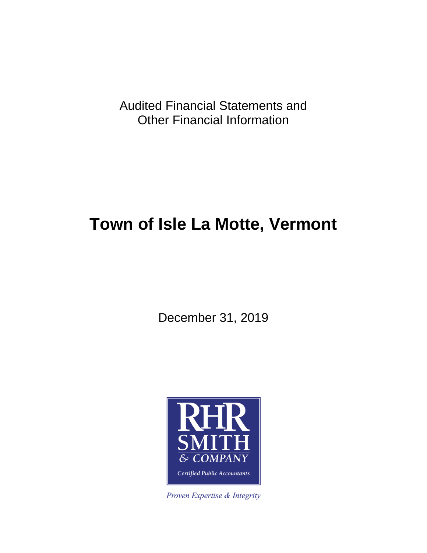Audited Financial Statements and Other Financial Information

# **Town of Isle La Motte, Vermont**

December 31, 2019



Proven Expertise & Integrity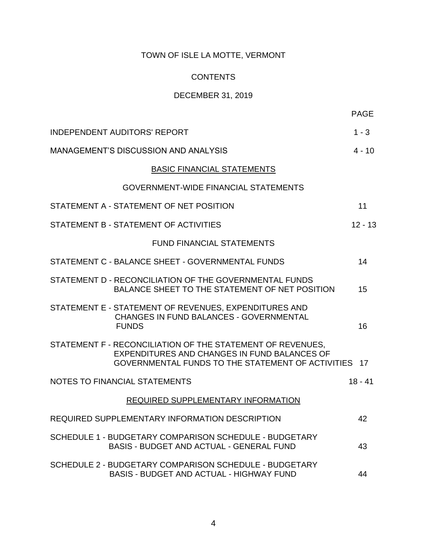## **CONTENTS**

## DECEMBER 31, 2019

| <b>INDEPENDENT AUDITORS' REPORT</b>                                                                                                                                | $1 - 3$   |
|--------------------------------------------------------------------------------------------------------------------------------------------------------------------|-----------|
| <b>MANAGEMENT'S DISCUSSION AND ANALYSIS</b>                                                                                                                        | 4 - 10    |
| <b>BASIC FINANCIAL STATEMENTS</b>                                                                                                                                  |           |
| <b>GOVERNMENT-WIDE FINANCIAL STATEMENTS</b>                                                                                                                        |           |
| STATEMENT A - STATEMENT OF NET POSITION                                                                                                                            | 11        |
| STATEMENT B - STATEMENT OF ACTIVITIES                                                                                                                              | $12 - 13$ |
| <b>FUND FINANCIAL STATEMENTS</b>                                                                                                                                   |           |
| STATEMENT C - BALANCE SHEET - GOVERNMENTAL FUNDS                                                                                                                   | 14        |
| STATEMENT D - RECONCILIATION OF THE GOVERNMENTAL FUNDS<br>BALANCE SHEET TO THE STATEMENT OF NET POSITION                                                           | 15        |
| STATEMENT E - STATEMENT OF REVENUES, EXPENDITURES AND<br>CHANGES IN FUND BALANCES - GOVERNMENTAL<br><b>FUNDS</b>                                                   | 16        |
| STATEMENT F - RECONCILIATION OF THE STATEMENT OF REVENUES.<br>EXPENDITURES AND CHANGES IN FUND BALANCES OF<br>GOVERNMENTAL FUNDS TO THE STATEMENT OF ACTIVITIES 17 |           |
| <b>NOTES TO FINANCIAL STATEMENTS</b>                                                                                                                               | $18 - 41$ |
| REQUIRED SUPPLEMENTARY INFORMATION                                                                                                                                 |           |
| REQUIRED SUPPLEMENTARY INFORMATION DESCRIPTION                                                                                                                     | 42        |
| SCHEDULE 1 - BUDGETARY COMPARISON SCHEDULE - BUDGETARY<br><b>BASIS - BUDGET AND ACTUAL - GENERAL FUND</b>                                                          | 43        |
| SCHEDULE 2 - BUDGETARY COMPARISON SCHEDULE - BUDGETARY<br><b>BASIS - BUDGET AND ACTUAL - HIGHWAY FUND</b>                                                          | 44        |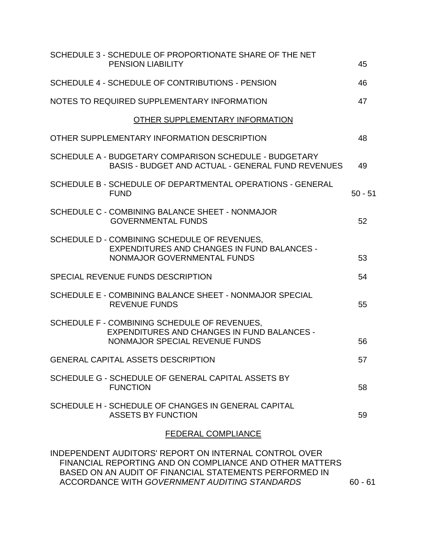| SCHEDULE 3 - SCHEDULE OF PROPORTIONATE SHARE OF THE NET<br><b>PENSION LIABILITY</b>                                                  | 45        |
|--------------------------------------------------------------------------------------------------------------------------------------|-----------|
| SCHEDULE 4 - SCHEDULE OF CONTRIBUTIONS - PENSION                                                                                     | 46        |
| NOTES TO REQUIRED SUPPLEMENTARY INFORMATION                                                                                          | 47        |
| OTHER SUPPLEMENTARY INFORMATION                                                                                                      |           |
| OTHER SUPPLEMENTARY INFORMATION DESCRIPTION                                                                                          | 48        |
| SCHEDULE A - BUDGETARY COMPARISON SCHEDULE - BUDGETARY<br><b>BASIS - BUDGET AND ACTUAL - GENERAL FUND REVENUES</b>                   | 49        |
| SCHEDULE B - SCHEDULE OF DEPARTMENTAL OPERATIONS - GENERAL<br><b>FUND</b>                                                            | $50 - 51$ |
| SCHEDULE C - COMBINING BALANCE SHEET - NONMAJOR<br><b>GOVERNMENTAL FUNDS</b>                                                         | 52        |
| SCHEDULE D - COMBINING SCHEDULE OF REVENUES,<br><b>EXPENDITURES AND CHANGES IN FUND BALANCES -</b><br>NONMAJOR GOVERNMENTAL FUNDS    | 53        |
| SPECIAL REVENUE FUNDS DESCRIPTION                                                                                                    | 54        |
| SCHEDULE E - COMBINING BALANCE SHEET - NONMAJOR SPECIAL<br><b>REVENUE FUNDS</b>                                                      | 55        |
| SCHEDULE F - COMBINING SCHEDULE OF REVENUES,<br><b>EXPENDITURES AND CHANGES IN FUND BALANCES -</b><br>NONMAJOR SPECIAL REVENUE FUNDS | 56        |
| <b>GENERAL CAPITAL ASSETS DESCRIPTION</b>                                                                                            | 57        |
| SCHEDULE G - SCHEDULE OF GENERAL CAPITAL ASSETS BY<br><b>FUNCTION</b>                                                                | 58        |
| SCHEDULE H - SCHEDULE OF CHANGES IN GENERAL CAPITAL<br><b>ASSETS BY FUNCTION</b>                                                     | 59        |
| <b>FEDERAL COMPLIANCE</b>                                                                                                            |           |
|                                                                                                                                      |           |

INDEPENDENT AUDITORS' REPORT ON INTERNAL CONTROL OVER FINANCIAL REPORTING AND ON COMPLIANCE AND OTHER MATTERS BASED ON AN AUDIT OF FINANCIAL STATEMENTS PERFORMED IN ACCORDANCE WITH *GOVERNMENT AUDITING STANDARDS* 60 - 61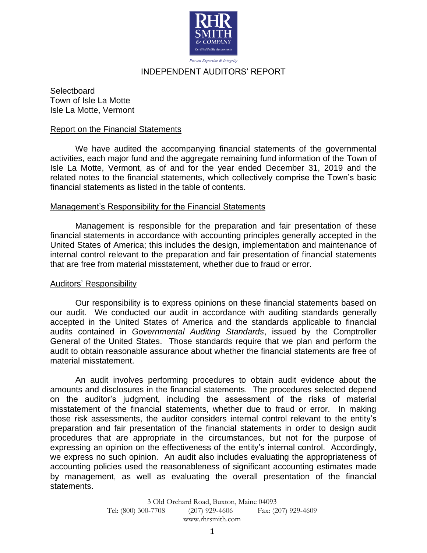

Proven Expertise & Integrity

## INDEPENDENT AUDITORS' REPORT

**Selectboard** Town of Isle La Motte Isle La Motte, Vermont

#### Report on the Financial Statements

We have audited the accompanying financial statements of the governmental activities, each major fund and the aggregate remaining fund information of the Town of Isle La Motte, Vermont, as of and for the year ended December 31, 2019 and the related notes to the financial statements, which collectively comprise the Town's basic financial statements as listed in the table of contents.

## Management's Responsibility for the Financial Statements

Management is responsible for the preparation and fair presentation of these financial statements in accordance with accounting principles generally accepted in the United States of America; this includes the design, implementation and maintenance of internal control relevant to the preparation and fair presentation of financial statements that are free from material misstatement, whether due to fraud or error.

#### Auditors' Responsibility

Our responsibility is to express opinions on these financial statements based on our audit. We conducted our audit in accordance with auditing standards generally accepted in the United States of America and the standards applicable to financial audits contained in *Governmental Auditing Standards*, issued by the Comptroller General of the United States. Those standards require that we plan and perform the audit to obtain reasonable assurance about whether the financial statements are free of material misstatement.

An audit involves performing procedures to obtain audit evidence about the amounts and disclosures in the financial statements. The procedures selected depend on the auditor's judgment, including the assessment of the risks of material misstatement of the financial statements, whether due to fraud or error. In making those risk assessments, the auditor considers internal control relevant to the entity's preparation and fair presentation of the financial statements in order to design audit procedures that are appropriate in the circumstances, but not for the purpose of expressing an opinion on the effectiveness of the entity's internal control. Accordingly, we express no such opinion. An audit also includes evaluating the appropriateness of accounting policies used the reasonableness of significant accounting estimates made by management, as well as evaluating the overall presentation of the financial statements.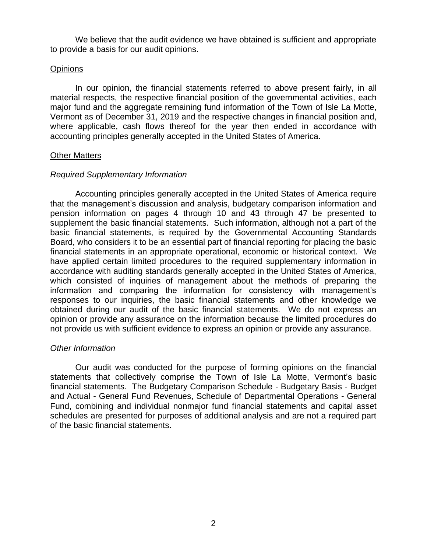We believe that the audit evidence we have obtained is sufficient and appropriate to provide a basis for our audit opinions.

## **Opinions**

In our opinion, the financial statements referred to above present fairly, in all material respects, the respective financial position of the governmental activities, each major fund and the aggregate remaining fund information of the Town of Isle La Motte, Vermont as of December 31, 2019 and the respective changes in financial position and, where applicable, cash flows thereof for the year then ended in accordance with accounting principles generally accepted in the United States of America.

#### Other Matters

## *Required Supplementary Information*

Accounting principles generally accepted in the United States of America require that the management's discussion and analysis, budgetary comparison information and pension information on pages 4 through 10 and 43 through 47 be presented to supplement the basic financial statements. Such information, although not a part of the basic financial statements, is required by the Governmental Accounting Standards Board, who considers it to be an essential part of financial reporting for placing the basic financial statements in an appropriate operational, economic or historical context. We have applied certain limited procedures to the required supplementary information in accordance with auditing standards generally accepted in the United States of America, which consisted of inquiries of management about the methods of preparing the information and comparing the information for consistency with management's responses to our inquiries, the basic financial statements and other knowledge we obtained during our audit of the basic financial statements. We do not express an opinion or provide any assurance on the information because the limited procedures do not provide us with sufficient evidence to express an opinion or provide any assurance.

#### *Other Information*

Our audit was conducted for the purpose of forming opinions on the financial statements that collectively comprise the Town of Isle La Motte, Vermont's basic financial statements. The Budgetary Comparison Schedule - Budgetary Basis - Budget and Actual - General Fund Revenues, Schedule of Departmental Operations - General Fund, combining and individual nonmajor fund financial statements and capital asset schedules are presented for purposes of additional analysis and are not a required part of the basic financial statements.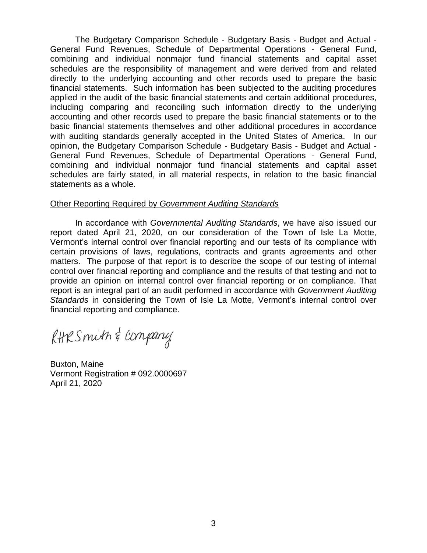The Budgetary Comparison Schedule - Budgetary Basis - Budget and Actual - General Fund Revenues, Schedule of Departmental Operations - General Fund, combining and individual nonmajor fund financial statements and capital asset schedules are the responsibility of management and were derived from and related directly to the underlying accounting and other records used to prepare the basic financial statements. Such information has been subjected to the auditing procedures applied in the audit of the basic financial statements and certain additional procedures, including comparing and reconciling such information directly to the underlying accounting and other records used to prepare the basic financial statements or to the basic financial statements themselves and other additional procedures in accordance with auditing standards generally accepted in the United States of America. In our opinion, the Budgetary Comparison Schedule - Budgetary Basis - Budget and Actual - General Fund Revenues, Schedule of Departmental Operations - General Fund, combining and individual nonmajor fund financial statements and capital asset schedules are fairly stated, in all material respects, in relation to the basic financial statements as a whole.

## Other Reporting Required by *Government Auditing Standards*

In accordance with *Governmental Auditing Standards*, we have also issued our report dated April 21, 2020, on our consideration of the Town of Isle La Motte, Vermont's internal control over financial reporting and our tests of its compliance with certain provisions of laws, regulations, contracts and grants agreements and other matters. The purpose of that report is to describe the scope of our testing of internal control over financial reporting and compliance and the results of that testing and not to provide an opinion on internal control over financial reporting or on compliance. That report is an integral part of an audit performed in accordance with *Government Auditing Standards* in considering the Town of Isle La Motte, Vermont's internal control over financial reporting and compliance.

RHRSmith & Company

Buxton, Maine Vermont Registration # 092.0000697 April 21, 2020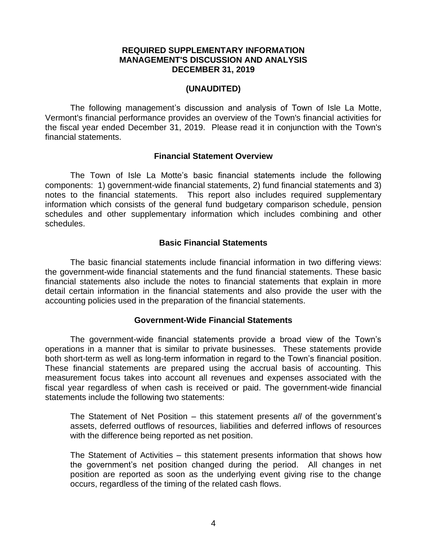## **REQUIRED SUPPLEMENTARY INFORMATION MANAGEMENT'S DISCUSSION AND ANALYSIS DECEMBER 31, 2019**

## **(UNAUDITED)**

The following management's discussion and analysis of Town of Isle La Motte, Vermont's financial performance provides an overview of the Town's financial activities for the fiscal year ended December 31, 2019. Please read it in conjunction with the Town's financial statements.

#### **Financial Statement Overview**

The Town of Isle La Motte's basic financial statements include the following components: 1) government-wide financial statements, 2) fund financial statements and 3) notes to the financial statements. This report also includes required supplementary information which consists of the general fund budgetary comparison schedule, pension schedules and other supplementary information which includes combining and other schedules.

## **Basic Financial Statements**

The basic financial statements include financial information in two differing views: the government-wide financial statements and the fund financial statements. These basic financial statements also include the notes to financial statements that explain in more detail certain information in the financial statements and also provide the user with the accounting policies used in the preparation of the financial statements.

#### **Government-Wide Financial Statements**

The government-wide financial statements provide a broad view of the Town's operations in a manner that is similar to private businesses. These statements provide both short-term as well as long-term information in regard to the Town's financial position. These financial statements are prepared using the accrual basis of accounting. This measurement focus takes into account all revenues and expenses associated with the fiscal year regardless of when cash is received or paid. The government-wide financial statements include the following two statements:

The Statement of Net Position – this statement presents *all* of the government's assets, deferred outflows of resources, liabilities and deferred inflows of resources with the difference being reported as net position.

The Statement of Activities – this statement presents information that shows how the government's net position changed during the period. All changes in net position are reported as soon as the underlying event giving rise to the change occurs, regardless of the timing of the related cash flows.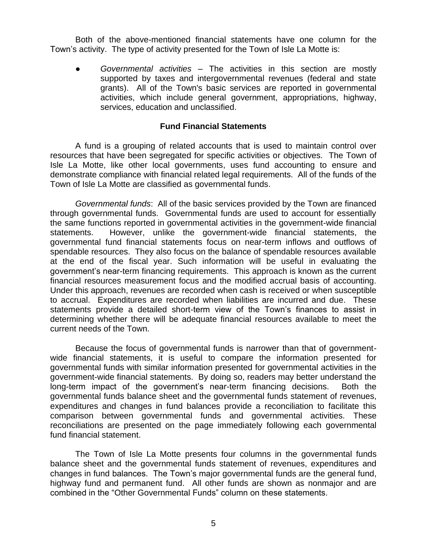Both of the above-mentioned financial statements have one column for the Town's activity. The type of activity presented for the Town of Isle La Motte is:

● *Governmental activities* – The activities in this section are mostly supported by taxes and intergovernmental revenues (federal and state grants). All of the Town's basic services are reported in governmental activities, which include general government, appropriations, highway, services, education and unclassified.

## **Fund Financial Statements**

A fund is a grouping of related accounts that is used to maintain control over resources that have been segregated for specific activities or objectives. The Town of Isle La Motte, like other local governments, uses fund accounting to ensure and demonstrate compliance with financial related legal requirements. All of the funds of the Town of Isle La Motte are classified as governmental funds.

*Governmental funds*: All of the basic services provided by the Town are financed through governmental funds. Governmental funds are used to account for essentially the same functions reported in governmental activities in the government-wide financial statements. However, unlike the government-wide financial statements, the governmental fund financial statements focus on near-term inflows and outflows of spendable resources. They also focus on the balance of spendable resources available at the end of the fiscal year. Such information will be useful in evaluating the government's near-term financing requirements. This approach is known as the current financial resources measurement focus and the modified accrual basis of accounting. Under this approach, revenues are recorded when cash is received or when susceptible to accrual. Expenditures are recorded when liabilities are incurred and due. These statements provide a detailed short-term view of the Town's finances to assist in determining whether there will be adequate financial resources available to meet the current needs of the Town.

Because the focus of governmental funds is narrower than that of governmentwide financial statements, it is useful to compare the information presented for governmental funds with similar information presented for governmental activities in the government-wide financial statements. By doing so, readers may better understand the long-term impact of the government's near-term financing decisions. Both the governmental funds balance sheet and the governmental funds statement of revenues, expenditures and changes in fund balances provide a reconciliation to facilitate this comparison between governmental funds and governmental activities. These reconciliations are presented on the page immediately following each governmental fund financial statement.

The Town of Isle La Motte presents four columns in the governmental funds balance sheet and the governmental funds statement of revenues, expenditures and changes in fund balances. The Town's major governmental funds are the general fund, highway fund and permanent fund. All other funds are shown as nonmajor and are combined in the "Other Governmental Funds" column on these statements.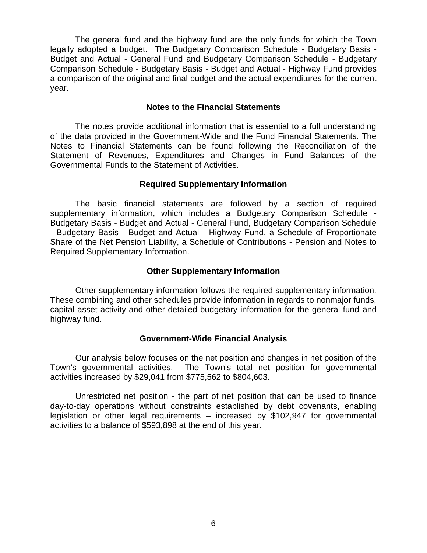The general fund and the highway fund are the only funds for which the Town legally adopted a budget. The Budgetary Comparison Schedule - Budgetary Basis - Budget and Actual - General Fund and Budgetary Comparison Schedule - Budgetary Comparison Schedule - Budgetary Basis - Budget and Actual - Highway Fund provides a comparison of the original and final budget and the actual expenditures for the current year.

## **Notes to the Financial Statements**

The notes provide additional information that is essential to a full understanding of the data provided in the Government-Wide and the Fund Financial Statements. The Notes to Financial Statements can be found following the Reconciliation of the Statement of Revenues, Expenditures and Changes in Fund Balances of the Governmental Funds to the Statement of Activities.

## **Required Supplementary Information**

The basic financial statements are followed by a section of required supplementary information, which includes a Budgetary Comparison Schedule - Budgetary Basis - Budget and Actual - General Fund, Budgetary Comparison Schedule - Budgetary Basis - Budget and Actual - Highway Fund, a Schedule of Proportionate Share of the Net Pension Liability, a Schedule of Contributions - Pension and Notes to Required Supplementary Information.

## **Other Supplementary Information**

Other supplementary information follows the required supplementary information. These combining and other schedules provide information in regards to nonmajor funds, capital asset activity and other detailed budgetary information for the general fund and highway fund.

## **Government-Wide Financial Analysis**

Our analysis below focuses on the net position and changes in net position of the Town's governmental activities. The Town's total net position for governmental activities increased by \$29,041 from \$775,562 to \$804,603.

Unrestricted net position - the part of net position that can be used to finance day-to-day operations without constraints established by debt covenants, enabling legislation or other legal requirements – increased by \$102,947 for governmental activities to a balance of \$593,898 at the end of this year.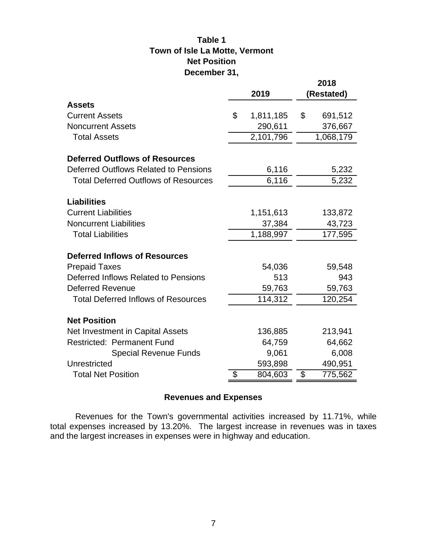# **Town of Isle La Motte, Vermont Net Position Table 1 December 31,**

|                                             |                 | 2018 |            |  |  |
|---------------------------------------------|-----------------|------|------------|--|--|
|                                             | 2019            |      | (Restated) |  |  |
| <b>Assets</b>                               |                 |      |            |  |  |
| <b>Current Assets</b>                       | \$<br>1,811,185 | \$   | 691,512    |  |  |
| <b>Noncurrent Assets</b>                    | 290,611         |      | 376,667    |  |  |
| <b>Total Assets</b>                         | 2,101,796       |      | 1,068,179  |  |  |
|                                             |                 |      |            |  |  |
| <b>Deferred Outflows of Resources</b>       |                 |      |            |  |  |
| Deferred Outflows Related to Pensions       | 6,116           |      | 5,232      |  |  |
| <b>Total Deferred Outflows of Resources</b> | 6,116           |      | 5,232      |  |  |
| <b>Liabilities</b>                          |                 |      |            |  |  |
| <b>Current Liabilities</b>                  | 1,151,613       |      | 133,872    |  |  |
| <b>Noncurrent Liabilities</b>               | 37,384          |      | 43,723     |  |  |
| <b>Total Liabilities</b>                    | 1,188,997       |      | 177,595    |  |  |
|                                             |                 |      |            |  |  |
| <b>Deferred Inflows of Resources</b>        |                 |      |            |  |  |
| <b>Prepaid Taxes</b>                        | 54,036          |      | 59,548     |  |  |
| Deferred Inflows Related to Pensions        | 513             |      | 943        |  |  |
| <b>Deferred Revenue</b>                     | 59,763          |      | 59,763     |  |  |
| <b>Total Deferred Inflows of Resources</b>  | 114,312         |      | 120,254    |  |  |
|                                             |                 |      |            |  |  |
| <b>Net Position</b>                         |                 |      |            |  |  |
| Net Investment in Capital Assets            | 136,885         |      | 213,941    |  |  |
| <b>Restricted: Permanent Fund</b>           | 64,759          |      | 64,662     |  |  |
| <b>Special Revenue Funds</b>                | 9,061           |      | 6,008      |  |  |
| Unrestricted                                | 593,898         |      | 490,951    |  |  |
| <b>Total Net Position</b>                   | \$<br>804,603   | \$   | 775,562    |  |  |

# **Revenues and Expenses**

Revenues for the Town's governmental activities increased by 11.71%, while total expenses increased by 13.20%. The largest increase in revenues was in taxes and the largest increases in expenses were in highway and education.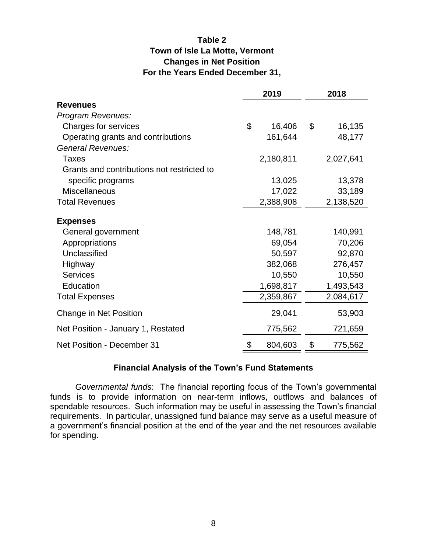# **Table 2 Town of Isle La Motte, Vermont Changes in Net Position For the Years Ended December 31,**

|                                            | 2019 |           |                           | 2018      |  |  |
|--------------------------------------------|------|-----------|---------------------------|-----------|--|--|
| <b>Revenues</b>                            |      |           |                           |           |  |  |
| Program Revenues:                          |      |           |                           |           |  |  |
| Charges for services                       | \$   | 16,406    | $\boldsymbol{\mathsf{S}}$ | 16,135    |  |  |
| Operating grants and contributions         |      | 161,644   |                           | 48,177    |  |  |
| General Revenues:                          |      |           |                           |           |  |  |
| Taxes                                      |      | 2,180,811 |                           | 2,027,641 |  |  |
| Grants and contributions not restricted to |      |           |                           |           |  |  |
| specific programs                          |      | 13,025    |                           | 13,378    |  |  |
| <b>Miscellaneous</b>                       |      | 17,022    |                           | 33,189    |  |  |
| <b>Total Revenues</b>                      |      | 2,388,908 |                           | 2,138,520 |  |  |
|                                            |      |           |                           |           |  |  |
| <b>Expenses</b>                            |      |           |                           |           |  |  |
| General government                         |      | 148,781   |                           | 140,991   |  |  |
| Appropriations                             |      | 69,054    |                           | 70,206    |  |  |
| Unclassified                               |      | 50,597    |                           | 92,870    |  |  |
| Highway                                    |      | 382,068   |                           | 276,457   |  |  |
| <b>Services</b>                            |      | 10,550    |                           | 10,550    |  |  |
| Education                                  |      | 1,698,817 |                           | 1,493,543 |  |  |
| <b>Total Expenses</b>                      |      | 2,359,867 |                           | 2,084,617 |  |  |
| Change in Net Position                     |      | 29,041    |                           | 53,903    |  |  |
| Net Position - January 1, Restated         |      | 775,562   |                           | 721,659   |  |  |
| Net Position - December 31                 | \$   | 804,603   | \$                        | 775,562   |  |  |

## **Financial Analysis of the Town's Fund Statements**

*Governmental funds*: The financial reporting focus of the Town's governmental funds is to provide information on near-term inflows, outflows and balances of spendable resources. Such information may be useful in assessing the Town's financial requirements. In particular, unassigned fund balance may serve as a useful measure of a government's financial position at the end of the year and the net resources available for spending.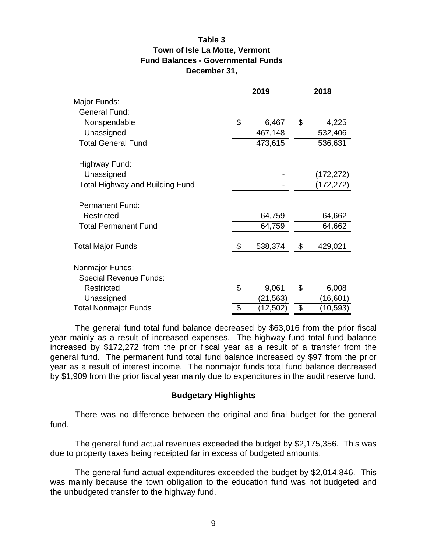## **Table 3 Town of Isle La Motte, Vermont Fund Balances - Governmental Funds December 31,**

|                                        | 2019            | 2018 |            |  |  |  |
|----------------------------------------|-----------------|------|------------|--|--|--|
| Major Funds:                           |                 |      |            |  |  |  |
| <b>General Fund:</b>                   |                 |      |            |  |  |  |
| Nonspendable                           | \$<br>6,467     | \$   | 4,225      |  |  |  |
| Unassigned                             | 467,148         |      | 532,406    |  |  |  |
| <b>Total General Fund</b>              | 473,615         |      | 536,631    |  |  |  |
| Highway Fund:                          |                 |      |            |  |  |  |
| Unassigned                             |                 |      | (172, 272) |  |  |  |
| <b>Total Highway and Building Fund</b> |                 |      | (172,272)  |  |  |  |
| <b>Permanent Fund:</b>                 |                 |      |            |  |  |  |
| <b>Restricted</b>                      | 64,759          |      | 64,662     |  |  |  |
| <b>Total Permanent Fund</b>            | 64,759          |      | 64,662     |  |  |  |
| Total Major Funds                      | \$<br>538,374   |      | 429,021    |  |  |  |
| Nonmajor Funds:                        |                 |      |            |  |  |  |
| <b>Special Revenue Funds:</b>          |                 |      |            |  |  |  |
| Restricted                             | \$<br>9,061     | \$   | 6,008      |  |  |  |
| Unassigned                             | (21, 563)       |      | (16,601)   |  |  |  |
| <b>Total Nonmajor Funds</b>            | \$<br>(12, 502) | \$   | (10, 593)  |  |  |  |

The general fund total fund balance decreased by \$63,016 from the prior fiscal year mainly as a result of increased expenses. The highway fund total fund balance increased by \$172,272 from the prior fiscal year as a result of a transfer from the general fund. The permanent fund total fund balance increased by \$97 from the prior year as a result of interest income. The nonmajor funds total fund balance decreased by \$1,909 from the prior fiscal year mainly due to expenditures in the audit reserve fund.

#### **Budgetary Highlights**

There was no difference between the original and final budget for the general fund.

The general fund actual revenues exceeded the budget by \$2,175,356. This was due to property taxes being receipted far in excess of budgeted amounts.

The general fund actual expenditures exceeded the budget by \$2,014,846. This was mainly because the town obligation to the education fund was not budgeted and the unbudgeted transfer to the highway fund.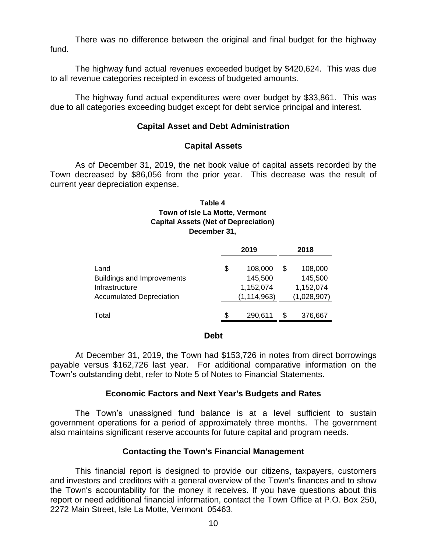There was no difference between the original and final budget for the highway fund.

The highway fund actual revenues exceeded budget by \$420,624. This was due to all revenue categories receipted in excess of budgeted amounts.

The highway fund actual expenditures were over budget by \$33,861. This was due to all categories exceeding budget except for debt service principal and interest.

## **Capital Asset and Debt Administration**

## **Capital Assets**

As of December 31, 2019, the net book value of capital assets recorded by the Town decreased by \$86,056 from the prior year. This decrease was the result of current year depreciation expense.

#### **December 31, Capital Assets (Net of Depreciation) Table 4 Town of Isle La Motte, Vermont**

|                                   |    | 2019          | 2018 |             |  |  |
|-----------------------------------|----|---------------|------|-------------|--|--|
| Land                              | \$ | 108,000       | S    | 108,000     |  |  |
| <b>Buildings and Improvements</b> |    | 145,500       |      | 145,500     |  |  |
| Infrastructure                    |    | 1,152,074     |      | 1,152,074   |  |  |
| <b>Accumulated Depreciation</b>   |    | (1, 114, 963) |      | (1,028,907) |  |  |
| Total                             | S  | 290,611       | S    | 376,667     |  |  |

#### **Debt**

At December 31, 2019, the Town had \$153,726 in notes from direct borrowings payable versus \$162,726 last year. For additional comparative information on the Town's outstanding debt, refer to Note 5 of Notes to Financial Statements.

#### **Economic Factors and Next Year's Budgets and Rates**

The Town's unassigned fund balance is at a level sufficient to sustain government operations for a period of approximately three months. The government also maintains significant reserve accounts for future capital and program needs.

## **Contacting the Town's Financial Management**

This financial report is designed to provide our citizens, taxpayers, customers and investors and creditors with a general overview of the Town's finances and to show the Town's accountability for the money it receives. If you have questions about this report or need additional financial information, contact the Town Office at P.O. Box 250, 2272 Main Street, Isle La Motte, Vermont 05463.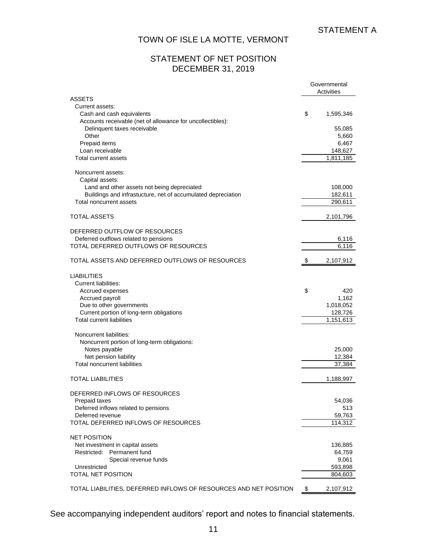## STATEMENT OF NET POSITION DECEMBER 31, 2019

|                                                                                                    | Governmental<br>Activities |  |  |  |
|----------------------------------------------------------------------------------------------------|----------------------------|--|--|--|
| <b>ASSETS</b><br>Current assets:<br>Cash and cash equivalents                                      | \$<br>1,595,346            |  |  |  |
| Accounts receivable (net of allowance for uncollectibles):<br>Delinquent taxes receivable<br>Other | 55,085<br>5,660            |  |  |  |
| Prepaid items<br>Loan receivable                                                                   | 6,467<br>148,627           |  |  |  |
| Total current assets                                                                               | 1,811,185                  |  |  |  |
| Noncurrent assets:<br>Capital assets:<br>Land and other assets not being depreciated               | 108,000                    |  |  |  |
| Buildings and infrastucture, net of accumulated depreciation<br>Total noncurrent assets            | 182,611<br>290,611         |  |  |  |
| <b>TOTAL ASSETS</b>                                                                                | 2,101,796                  |  |  |  |
| DEFERRED OUTFLOW OF RESOURCES                                                                      |                            |  |  |  |
| Deferred outflows related to pensions<br>TOTAL DEFERRED OUTFLOWS OF RESOURCES                      | 6,116<br>6,116             |  |  |  |
| TOTAL ASSETS AND DEFERRED OUTFLOWS OF RESOURCES                                                    | \$<br>2,107,912            |  |  |  |
| <b>LIABILITIES</b><br>Current liabilities:                                                         |                            |  |  |  |
| Accrued expenses<br>Accrued payroll                                                                | \$<br>420<br>1,162         |  |  |  |
| Due to other governments                                                                           | 1,018,052                  |  |  |  |
| Current portion of long-term obligations<br><b>Total current liabilities</b>                       | 128,726<br>1,151,613       |  |  |  |
| Noncurrent liabilities:                                                                            |                            |  |  |  |
| Noncurrent portion of long-term obligations:<br>Notes payable                                      | 25,000                     |  |  |  |
| Net pension liability<br><b>Total noncurrent liabilities</b>                                       | 12,384<br>37,384           |  |  |  |
|                                                                                                    |                            |  |  |  |
| <b>TOTAL LIABILITIES</b>                                                                           | 1,188,997                  |  |  |  |
| DEFERRED INFLOWS OF RESOURCES                                                                      |                            |  |  |  |
| Prepaid taxes<br>Deferred inflows related to pensions                                              | 54,036<br>513              |  |  |  |
| Deferred revenue                                                                                   | 59,763                     |  |  |  |
| TOTAL DEFERRED INFLOWS OF RESOURCES                                                                | 114,312                    |  |  |  |
| <b>NET POSITION</b>                                                                                |                            |  |  |  |
| Net investment in capital assets<br>Restricted: Permanent fund                                     | 136,885<br>64,759          |  |  |  |
| Special revenue funds                                                                              | 9,061                      |  |  |  |
| Unrestricted<br>TOTAL NET POSITION                                                                 | 593,898<br>804,603         |  |  |  |
|                                                                                                    |                            |  |  |  |
| TOTAL LIABILITIES, DEFERRED INFLOWS OF RESOURCES AND NET POSITION                                  | \$<br>2,107,912            |  |  |  |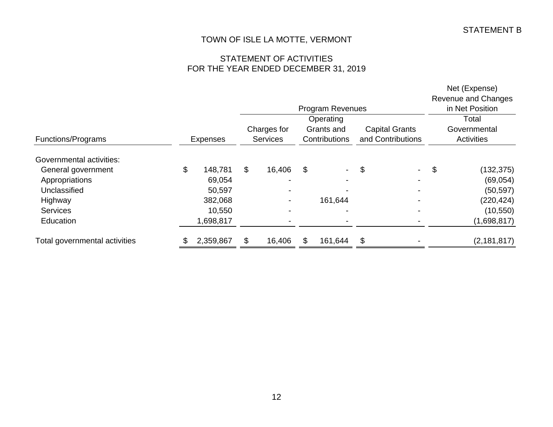# STATEMENT OF ACTIVITIES FOR THE YEAR ENDED DECEMBER 31, 2019

|                               |                 |             |                 |    |                 |                   |  | Net (Expense)<br>Revenue and Changes |  |  |  |  |  |  |  |  |  |  |  |  |  |  |  |  |  |  |  |  |  |  |  |            |  |                       |  |              |
|-------------------------------|-----------------|-------------|-----------------|----|-----------------|-------------------|--|--------------------------------------|--|--|--|--|--|--|--|--|--|--|--|--|--|--|--|--|--|--|--|--|--|--|--|------------|--|-----------------------|--|--------------|
|                               |                 |             |                 |    | in Net Position |                   |  |                                      |  |  |  |  |  |  |  |  |  |  |  |  |  |  |  |  |  |  |  |  |  |  |  |            |  |                       |  |              |
|                               |                 |             |                 |    | Operating       |                   |  | Total                                |  |  |  |  |  |  |  |  |  |  |  |  |  |  |  |  |  |  |  |  |  |  |  |            |  |                       |  |              |
|                               |                 | Charges for |                 |    |                 |                   |  |                                      |  |  |  |  |  |  |  |  |  |  |  |  |  |  |  |  |  |  |  |  |  |  |  | Grants and |  | <b>Capital Grants</b> |  | Governmental |
| Functions/Programs            | <b>Expenses</b> |             | <b>Services</b> |    | Contributions   | and Contributions |  | Activities                           |  |  |  |  |  |  |  |  |  |  |  |  |  |  |  |  |  |  |  |  |  |  |  |            |  |                       |  |              |
| Governmental activities:      |                 |             |                 |    |                 |                   |  |                                      |  |  |  |  |  |  |  |  |  |  |  |  |  |  |  |  |  |  |  |  |  |  |  |            |  |                       |  |              |
| General government            | \$<br>148,781   | \$          | 16,406          | \$ |                 | \$                |  | \$<br>(132, 375)                     |  |  |  |  |  |  |  |  |  |  |  |  |  |  |  |  |  |  |  |  |  |  |  |            |  |                       |  |              |
| Appropriations                | 69,054          |             |                 |    |                 |                   |  | (69,054)                             |  |  |  |  |  |  |  |  |  |  |  |  |  |  |  |  |  |  |  |  |  |  |  |            |  |                       |  |              |
| Unclassified                  | 50,597          |             |                 |    |                 |                   |  | (50, 597)                            |  |  |  |  |  |  |  |  |  |  |  |  |  |  |  |  |  |  |  |  |  |  |  |            |  |                       |  |              |
| Highway                       | 382,068         |             |                 |    | 161,644         |                   |  | (220, 424)                           |  |  |  |  |  |  |  |  |  |  |  |  |  |  |  |  |  |  |  |  |  |  |  |            |  |                       |  |              |
| <b>Services</b>               | 10,550          |             |                 |    |                 |                   |  | (10, 550)                            |  |  |  |  |  |  |  |  |  |  |  |  |  |  |  |  |  |  |  |  |  |  |  |            |  |                       |  |              |
| Education                     | 1,698,817       |             |                 |    |                 |                   |  | (1,698,817)                          |  |  |  |  |  |  |  |  |  |  |  |  |  |  |  |  |  |  |  |  |  |  |  |            |  |                       |  |              |
| Total governmental activities | 2,359,867       | \$          | 16,406          | S  | 161,644         | \$                |  | (2, 181, 817)                        |  |  |  |  |  |  |  |  |  |  |  |  |  |  |  |  |  |  |  |  |  |  |  |            |  |                       |  |              |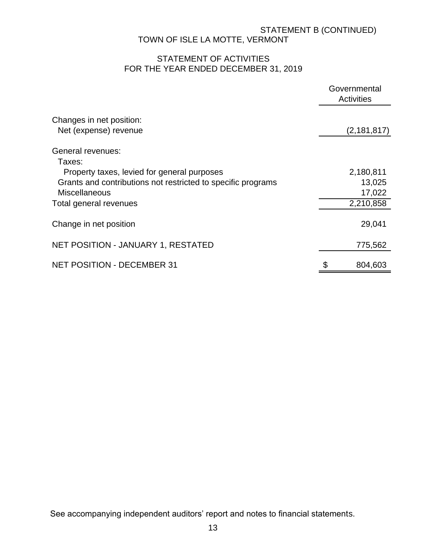# STATEMENT B (CONTINUED) TOWN OF ISLE LA MOTTE, VERMONT

# STATEMENT OF ACTIVITIES FOR THE YEAR ENDED DECEMBER 31, 2019

|                                                              | Governmental<br><b>Activities</b> |               |  |  |
|--------------------------------------------------------------|-----------------------------------|---------------|--|--|
| Changes in net position:                                     |                                   |               |  |  |
| Net (expense) revenue                                        |                                   | (2, 181, 817) |  |  |
| General revenues:                                            |                                   |               |  |  |
| Taxes:<br>Property taxes, levied for general purposes        |                                   | 2,180,811     |  |  |
| Grants and contributions not restricted to specific programs |                                   | 13,025        |  |  |
| <b>Miscellaneous</b>                                         |                                   | 17,022        |  |  |
| Total general revenues                                       |                                   | 2,210,858     |  |  |
| Change in net position                                       |                                   | 29,041        |  |  |
| NET POSITION - JANUARY 1, RESTATED                           |                                   | 775,562       |  |  |
| <b>NET POSITION - DECEMBER 31</b>                            | \$                                | 804,603       |  |  |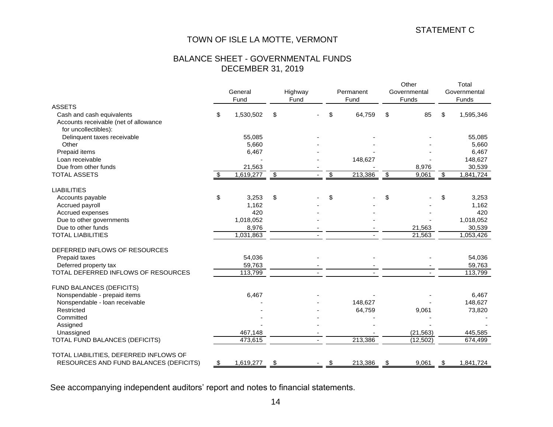# STATEMENT C

# TOWN OF ISLE LA MOTTE, VERMONT

## BALANCE SHEET - GOVERNMENTAL FUNDS DECEMBER 31, 2019

|                                        |    | General<br>Fund | Highway<br>Fund |                                  | Permanent<br>Fund |                           | Other<br>Governmental<br>Funds | Total<br>Governmental<br>Funds |           |
|----------------------------------------|----|-----------------|-----------------|----------------------------------|-------------------|---------------------------|--------------------------------|--------------------------------|-----------|
| <b>ASSETS</b>                          |    |                 |                 |                                  |                   |                           |                                |                                |           |
| Cash and cash equivalents              | \$ | 1,530,502       | \$              | \$                               | 64,759            | \$                        | 85                             | \$                             | 1,595,346 |
| Accounts receivable (net of allowance  |    |                 |                 |                                  |                   |                           |                                |                                |           |
| for uncollectibles):                   |    |                 |                 |                                  |                   |                           |                                |                                |           |
| Delinquent taxes receivable            |    | 55,085          |                 |                                  |                   |                           |                                |                                | 55,085    |
| Other                                  |    | 5,660           |                 |                                  |                   |                           |                                |                                | 5,660     |
| Prepaid items                          |    | 6,467           |                 |                                  |                   |                           |                                |                                | 6,467     |
| Loan receivable                        |    |                 |                 |                                  | 148,627           |                           |                                |                                | 148,627   |
| Due from other funds                   |    | 21,563          |                 |                                  |                   |                           | 8,976                          |                                | 30,539    |
| <b>TOTAL ASSETS</b>                    | \$ | 1,619,277       | $\sqrt{3}$      | $\overline{\boldsymbol{\theta}}$ | 213,386           | $\boldsymbol{\mathsf{S}}$ | 9,061                          | $\sqrt[6]{3}$                  | 1,841,724 |
| <b>LIABILITIES</b>                     |    |                 |                 |                                  |                   |                           |                                |                                |           |
| Accounts payable                       | \$ | 3,253           | \$              | \$                               |                   | \$                        |                                | \$                             | 3,253     |
| Accrued payroll                        |    | 1,162           |                 |                                  |                   |                           |                                |                                | 1,162     |
| Accrued expenses                       |    | 420             |                 |                                  |                   |                           |                                |                                | 420       |
| Due to other governments               |    | 1,018,052       |                 |                                  |                   |                           |                                |                                | 1,018,052 |
| Due to other funds                     |    | 8,976           |                 |                                  |                   |                           | 21,563                         |                                | 30,539    |
| <b>TOTAL LIABILITIES</b>               |    | 1,031,863       |                 |                                  |                   |                           | 21,563                         |                                | 1,053,426 |
| DEFERRED INFLOWS OF RESOURCES          |    |                 |                 |                                  |                   |                           |                                |                                |           |
| Prepaid taxes                          |    | 54,036          |                 |                                  |                   |                           |                                |                                | 54,036    |
| Deferred property tax                  |    | 59,763          |                 |                                  |                   |                           |                                |                                | 59,763    |
| TOTAL DEFERRED INFLOWS OF RESOURCES    |    | 113,799         |                 |                                  |                   |                           |                                |                                | 113,799   |
| FUND BALANCES (DEFICITS)               |    |                 |                 |                                  |                   |                           |                                |                                |           |
| Nonspendable - prepaid items           |    | 6,467           |                 |                                  |                   |                           |                                |                                | 6,467     |
| Nonspendable - Ioan receivable         |    |                 |                 |                                  | 148,627           |                           |                                |                                | 148,627   |
| Restricted                             |    |                 |                 |                                  | 64,759            |                           | 9,061                          |                                | 73,820    |
| Committed                              |    |                 |                 |                                  |                   |                           |                                |                                |           |
| Assigned                               |    |                 |                 |                                  |                   |                           |                                |                                |           |
| Unassigned                             |    | 467,148         |                 |                                  |                   |                           | (21, 563)                      |                                | 445,585   |
| TOTAL FUND BALANCES (DEFICITS)         |    | 473,615         |                 |                                  | 213,386           |                           | (12, 502)                      |                                | 674,499   |
| TOTAL LIABILITIES, DEFERRED INFLOWS OF |    |                 |                 |                                  |                   |                           |                                |                                |           |
| RESOURCES AND FUND BALANCES (DEFICITS) | \$ | 1,619,277       | \$              | -\$                              | 213,386           | \$                        | 9,061                          | - \$                           | 1,841,724 |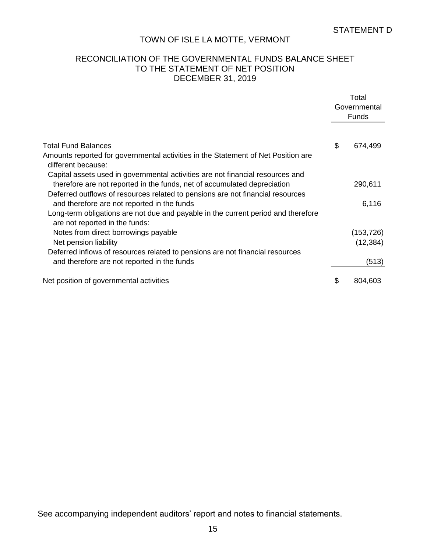## RECONCILIATION OF THE GOVERNMENTAL FUNDS BALANCE SHEET TO THE STATEMENT OF NET POSITION DECEMBER 31, 2019

|                                                                                                                     | Total<br>Governmental<br>Funds |
|---------------------------------------------------------------------------------------------------------------------|--------------------------------|
|                                                                                                                     |                                |
| Total Fund Balances                                                                                                 | \$<br>674,499                  |
| Amounts reported for governmental activities in the Statement of Net Position are<br>different because:             |                                |
| Capital assets used in governmental activities are not financial resources and                                      |                                |
| therefore are not reported in the funds, net of accumulated depreciation                                            | 290,611                        |
| Deferred outflows of resources related to pensions are not financial resources                                      |                                |
| and therefore are not reported in the funds                                                                         | 6,116                          |
| Long-term obligations are not due and payable in the current period and therefore<br>are not reported in the funds: |                                |
| Notes from direct borrowings payable                                                                                | (153, 726)                     |
| Net pension liability                                                                                               | (12, 384)                      |
| Deferred inflows of resources related to pensions are not financial resources                                       |                                |
| and therefore are not reported in the funds                                                                         | (513)                          |
| Net position of governmental activities                                                                             | 804,603                        |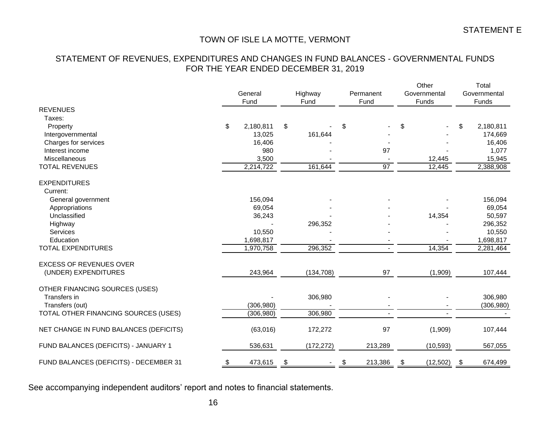# STATEMENT OF REVENUES, EXPENDITURES AND CHANGES IN FUND BALANCES - GOVERNMENTAL FUNDS FOR THE YEAR ENDED DECEMBER 31, 2019

|                                        |           |            |               |            |               |           |               | Other        | Total        |            |  |
|----------------------------------------|-----------|------------|---------------|------------|---------------|-----------|---------------|--------------|--------------|------------|--|
|                                        | General   |            |               | Highway    |               | Permanent |               | Governmental | Governmental |            |  |
|                                        | Fund      |            |               | Fund       |               | Fund      |               | Funds        | Funds        |            |  |
| <b>REVENUES</b>                        |           |            |               |            |               |           |               |              |              |            |  |
| Taxes:                                 |           |            |               |            |               |           |               |              |              |            |  |
| Property                               | \$        | 2,180,811  | \$            |            | \$            |           | \$            |              | \$           | 2,180,811  |  |
| Intergovernmental                      |           | 13,025     |               | 161,644    |               |           |               |              |              | 174,669    |  |
| Charges for services                   |           | 16,406     |               |            |               |           |               |              |              | 16,406     |  |
| Interest income                        |           | 980        |               |            |               | 97        |               |              |              | 1,077      |  |
| Miscellaneous                          |           | 3,500      |               |            |               |           |               | 12,445       |              | 15,945     |  |
| <b>TOTAL REVENUES</b>                  |           | 2,214,722  |               | 161,644    |               | 97        |               | 12,445       |              | 2,388,908  |  |
| <b>EXPENDITURES</b>                    |           |            |               |            |               |           |               |              |              |            |  |
| Current:                               |           |            |               |            |               |           |               |              |              |            |  |
| General government                     |           | 156,094    |               |            |               |           |               |              |              | 156,094    |  |
| Appropriations                         |           | 69,054     |               |            |               |           |               |              |              | 69,054     |  |
| Unclassified                           |           | 36,243     |               |            |               |           |               | 14,354       |              | 50,597     |  |
| Highway                                |           |            |               | 296,352    |               |           |               |              |              | 296,352    |  |
| <b>Services</b>                        |           | 10,550     |               |            |               |           |               |              |              | 10,550     |  |
| Education                              |           | 1,698,817  |               |            |               |           |               |              |              | 1,698,817  |  |
| <b>TOTAL EXPENDITURES</b>              |           | 1,970,758  |               | 296,352    |               |           |               | 14,354       |              | 2,281,464  |  |
| <b>EXCESS OF REVENUES OVER</b>         |           |            |               |            |               |           |               |              |              |            |  |
| (UNDER) EXPENDITURES                   |           | 243,964    |               | (134, 708) |               | 97        |               | (1,909)      |              | 107,444    |  |
| OTHER FINANCING SOURCES (USES)         |           |            |               |            |               |           |               |              |              |            |  |
| Transfers in                           |           |            |               | 306,980    |               |           |               |              |              | 306,980    |  |
| Transfers (out)                        |           | (306, 980) |               |            |               |           |               |              |              | (306, 980) |  |
| TOTAL OTHER FINANCING SOURCES (USES)   |           | (306, 980) |               | 306,980    |               |           |               |              |              |            |  |
| NET CHANGE IN FUND BALANCES (DEFICITS) |           | (63,016)   |               | 172,272    |               | 97        |               | (1,909)      |              | 107,444    |  |
| FUND BALANCES (DEFICITS) - JANUARY 1   |           | 536,631    |               | (172, 272) |               | 213,289   |               | (10, 593)    |              | 567,055    |  |
| FUND BALANCES (DEFICITS) - DECEMBER 31 | <u>\$</u> | 473,615    | $\frac{1}{2}$ |            | $\frac{1}{2}$ | 213,386   | $\frac{1}{2}$ | (12, 502)    | \$           | 674,499    |  |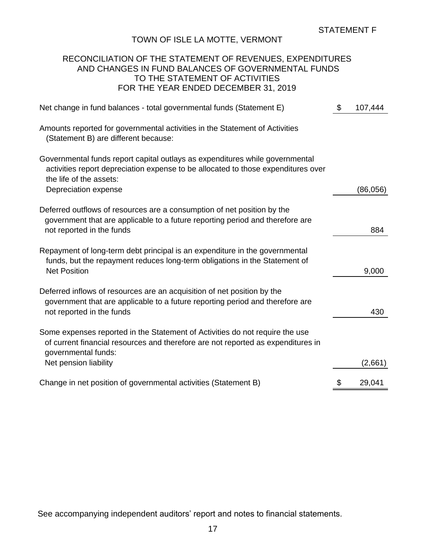## RECONCILIATION OF THE STATEMENT OF REVENUES, EXPENDITURES AND CHANGES IN FUND BALANCES OF GOVERNMENTAL FUNDS TO THE STATEMENT OF ACTIVITIES FOR THE YEAR ENDED DECEMBER 31, 2019

| Net change in fund balances - total governmental funds (Statement E)                                                                                                                                                 | $\mathcal{S}$ | 107,444  |
|----------------------------------------------------------------------------------------------------------------------------------------------------------------------------------------------------------------------|---------------|----------|
| Amounts reported for governmental activities in the Statement of Activities<br>(Statement B) are different because:                                                                                                  |               |          |
| Governmental funds report capital outlays as expenditures while governmental<br>activities report depreciation expense to be allocated to those expenditures over<br>the life of the assets:<br>Depreciation expense |               | (86,056) |
| Deferred outflows of resources are a consumption of net position by the<br>government that are applicable to a future reporting period and therefore are<br>not reported in the funds                                |               | 884      |
| Repayment of long-term debt principal is an expenditure in the governmental<br>funds, but the repayment reduces long-term obligations in the Statement of<br><b>Net Position</b>                                     |               | 9,000    |
| Deferred inflows of resources are an acquisition of net position by the<br>government that are applicable to a future reporting period and therefore are<br>not reported in the funds                                |               | 430      |
| Some expenses reported in the Statement of Activities do not require the use<br>of current financial resources and therefore are not reported as expenditures in<br>governmental funds:<br>Net pension liability     |               | (2,661)  |
| Change in net position of governmental activities (Statement B)                                                                                                                                                      | \$            | 29,041   |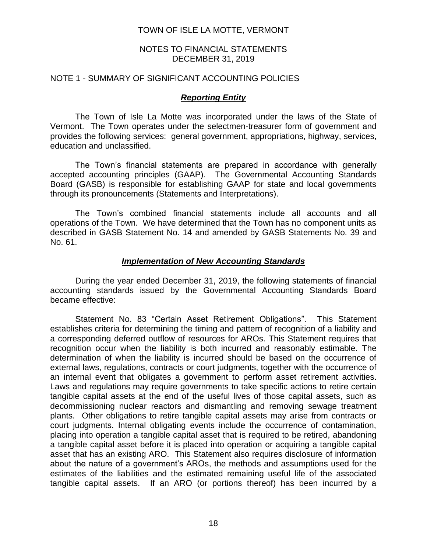#### NOTES TO FINANCIAL STATEMENTS DECEMBER 31, 2019

#### NOTE 1 - SUMMARY OF SIGNIFICANT ACCOUNTING POLICIES

#### *Reporting Entity*

The Town of Isle La Motte was incorporated under the laws of the State of Vermont. The Town operates under the selectmen-treasurer form of government and provides the following services: general government, appropriations, highway, services, education and unclassified.

The Town's financial statements are prepared in accordance with generally accepted accounting principles (GAAP). The Governmental Accounting Standards Board (GASB) is responsible for establishing GAAP for state and local governments through its pronouncements (Statements and Interpretations).

The Town's combined financial statements include all accounts and all operations of the Town. We have determined that the Town has no component units as described in GASB Statement No. 14 and amended by GASB Statements No. 39 and No. 61.

#### *Implementation of New Accounting Standards*

During the year ended December 31, 2019, the following statements of financial accounting standards issued by the Governmental Accounting Standards Board became effective:

Statement No. 83 "Certain Asset Retirement Obligations". This Statement establishes criteria for determining the timing and pattern of recognition of a liability and a corresponding deferred outflow of resources for AROs. This Statement requires that recognition occur when the liability is both incurred and reasonably estimable. The determination of when the liability is incurred should be based on the occurrence of external laws, regulations, contracts or court judgments, together with the occurrence of an internal event that obligates a government to perform asset retirement activities. Laws and regulations may require governments to take specific actions to retire certain tangible capital assets at the end of the useful lives of those capital assets, such as decommissioning nuclear reactors and dismantling and removing sewage treatment plants. Other obligations to retire tangible capital assets may arise from contracts or court judgments. Internal obligating events include the occurrence of contamination, placing into operation a tangible capital asset that is required to be retired, abandoning a tangible capital asset before it is placed into operation or acquiring a tangible capital asset that has an existing ARO. This Statement also requires disclosure of information about the nature of a government's AROs, the methods and assumptions used for the estimates of the liabilities and the estimated remaining useful life of the associated tangible capital assets. If an ARO (or portions thereof) has been incurred by a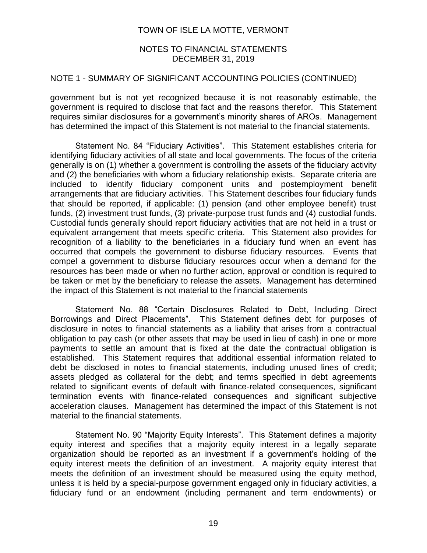## NOTES TO FINANCIAL STATEMENTS DECEMBER 31, 2019

## NOTE 1 - SUMMARY OF SIGNIFICANT ACCOUNTING POLICIES (CONTINUED)

government but is not yet recognized because it is not reasonably estimable, the government is required to disclose that fact and the reasons therefor. This Statement requires similar disclosures for a government's minority shares of AROs. Management has determined the impact of this Statement is not material to the financial statements.

Statement No. 84 "Fiduciary Activities". This Statement establishes criteria for identifying fiduciary activities of all state and local governments. The focus of the criteria generally is on (1) whether a government is controlling the assets of the fiduciary activity and (2) the beneficiaries with whom a fiduciary relationship exists. Separate criteria are included to identify fiduciary component units and postemployment benefit arrangements that are fiduciary activities. This Statement describes four fiduciary funds that should be reported, if applicable: (1) pension (and other employee benefit) trust funds, (2) investment trust funds, (3) private-purpose trust funds and (4) custodial funds. Custodial funds generally should report fiduciary activities that are not held in a trust or equivalent arrangement that meets specific criteria. This Statement also provides for recognition of a liability to the beneficiaries in a fiduciary fund when an event has occurred that compels the government to disburse fiduciary resources. Events that compel a government to disburse fiduciary resources occur when a demand for the resources has been made or when no further action, approval or condition is required to be taken or met by the beneficiary to release the assets. Management has determined the impact of this Statement is not material to the financial statements

Statement No. 88 "Certain Disclosures Related to Debt, Including Direct Borrowings and Direct Placements". This Statement defines debt for purposes of disclosure in notes to financial statements as a liability that arises from a contractual obligation to pay cash (or other assets that may be used in lieu of cash) in one or more payments to settle an amount that is fixed at the date the contractual obligation is established. This Statement requires that additional essential information related to debt be disclosed in notes to financial statements, including unused lines of credit; assets pledged as collateral for the debt; and terms specified in debt agreements related to significant events of default with finance-related consequences, significant termination events with finance-related consequences and significant subjective acceleration clauses. Management has determined the impact of this Statement is not material to the financial statements.

Statement No. 90 "Majority Equity Interests". This Statement defines a majority equity interest and specifies that a majority equity interest in a legally separate organization should be reported as an investment if a government's holding of the equity interest meets the definition of an investment. A majority equity interest that meets the definition of an investment should be measured using the equity method, unless it is held by a special-purpose government engaged only in fiduciary activities, a fiduciary fund or an endowment (including permanent and term endowments) or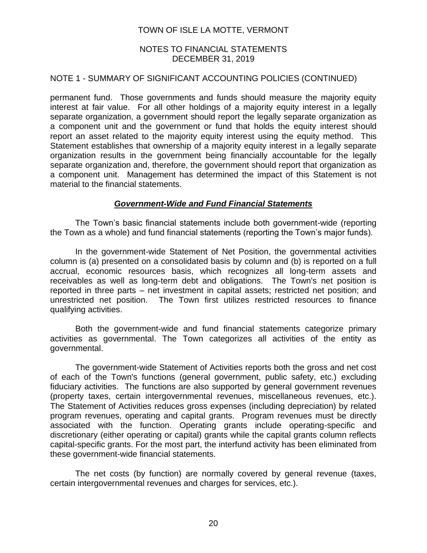## NOTES TO FINANCIAL STATEMENTS DECEMBER 31, 2019

## NOTE 1 - SUMMARY OF SIGNIFICANT ACCOUNTING POLICIES (CONTINUED)

permanent fund. Those governments and funds should measure the majority equity interest at fair value. For all other holdings of a majority equity interest in a legally separate organization, a government should report the legally separate organization as a component unit and the government or fund that holds the equity interest should report an asset related to the majority equity interest using the equity method. This Statement establishes that ownership of a majority equity interest in a legally separate organization results in the government being financially accountable for the legally separate organization and, therefore, the government should report that organization as a component unit. Management has determined the impact of this Statement is not material to the financial statements.

## *Government-Wide and Fund Financial Statements*

The Town's basic financial statements include both government-wide (reporting the Town as a whole) and fund financial statements (reporting the Town's major funds).

In the government-wide Statement of Net Position, the governmental activities column is (a) presented on a consolidated basis by column and (b) is reported on a full accrual, economic resources basis, which recognizes all long-term assets and receivables as well as long-term debt and obligations. The Town's net position is reported in three parts – net investment in capital assets; restricted net position; and unrestricted net position. The Town first utilizes restricted resources to finance qualifying activities.

Both the government-wide and fund financial statements categorize primary activities as governmental. The Town categorizes all activities of the entity as governmental.

The government-wide Statement of Activities reports both the gross and net cost of each of the Town's functions (general government, public safety, etc.) excluding fiduciary activities. The functions are also supported by general government revenues (property taxes, certain intergovernmental revenues, miscellaneous revenues, etc.). The Statement of Activities reduces gross expenses (including depreciation) by related program revenues, operating and capital grants. Program revenues must be directly associated with the function. Operating grants include operating-specific and discretionary (either operating or capital) grants while the capital grants column reflects capital-specific grants. For the most part, the interfund activity has been eliminated from these government-wide financial statements.

The net costs (by function) are normally covered by general revenue (taxes, certain intergovernmental revenues and charges for services, etc.).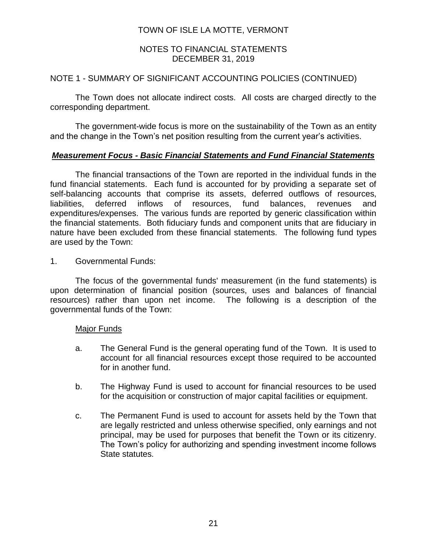## NOTES TO FINANCIAL STATEMENTS DECEMBER 31, 2019

## NOTE 1 - SUMMARY OF SIGNIFICANT ACCOUNTING POLICIES (CONTINUED)

The Town does not allocate indirect costs. All costs are charged directly to the corresponding department.

The government-wide focus is more on the sustainability of the Town as an entity and the change in the Town's net position resulting from the current year's activities.

## *Measurement Focus - Basic Financial Statements and Fund Financial Statements*

The financial transactions of the Town are reported in the individual funds in the fund financial statements. Each fund is accounted for by providing a separate set of self-balancing accounts that comprise its assets, deferred outflows of resources, liabilities, deferred inflows of resources, fund balances, revenues and expenditures/expenses. The various funds are reported by generic classification within the financial statements. Both fiduciary funds and component units that are fiduciary in nature have been excluded from these financial statements. The following fund types are used by the Town:

## 1. Governmental Funds:

The focus of the governmental funds' measurement (in the fund statements) is upon determination of financial position (sources, uses and balances of financial resources) rather than upon net income. The following is a description of the governmental funds of the Town:

#### Major Funds

- a. The General Fund is the general operating fund of the Town. It is used to account for all financial resources except those required to be accounted for in another fund.
- b. The Highway Fund is used to account for financial resources to be used for the acquisition or construction of major capital facilities or equipment.
- c. The Permanent Fund is used to account for assets held by the Town that are legally restricted and unless otherwise specified, only earnings and not principal, may be used for purposes that benefit the Town or its citizenry. The Town's policy for authorizing and spending investment income follows State statutes.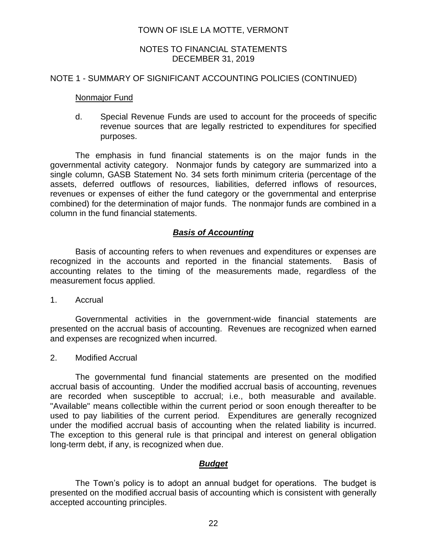## NOTES TO FINANCIAL STATEMENTS DECEMBER 31, 2019

#### NOTE 1 - SUMMARY OF SIGNIFICANT ACCOUNTING POLICIES (CONTINUED)

#### **Nonmajor Fund**

d. Special Revenue Funds are used to account for the proceeds of specific revenue sources that are legally restricted to expenditures for specified purposes.

The emphasis in fund financial statements is on the major funds in the governmental activity category. Nonmajor funds by category are summarized into a single column, GASB Statement No. 34 sets forth minimum criteria (percentage of the assets, deferred outflows of resources, liabilities, deferred inflows of resources, revenues or expenses of either the fund category or the governmental and enterprise combined) for the determination of major funds. The nonmajor funds are combined in a column in the fund financial statements.

#### *Basis of Accounting*

Basis of accounting refers to when revenues and expenditures or expenses are recognized in the accounts and reported in the financial statements. Basis of accounting relates to the timing of the measurements made, regardless of the measurement focus applied.

1. Accrual

Governmental activities in the government-wide financial statements are presented on the accrual basis of accounting. Revenues are recognized when earned and expenses are recognized when incurred.

2. Modified Accrual

The governmental fund financial statements are presented on the modified accrual basis of accounting. Under the modified accrual basis of accounting, revenues are recorded when susceptible to accrual; i.e., both measurable and available. "Available" means collectible within the current period or soon enough thereafter to be used to pay liabilities of the current period. Expenditures are generally recognized under the modified accrual basis of accounting when the related liability is incurred. The exception to this general rule is that principal and interest on general obligation long-term debt, if any, is recognized when due.

#### *Budget*

The Town's policy is to adopt an annual budget for operations. The budget is presented on the modified accrual basis of accounting which is consistent with generally accepted accounting principles.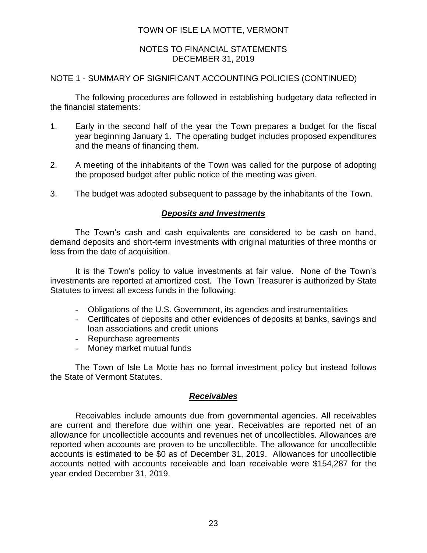## NOTES TO FINANCIAL STATEMENTS DECEMBER 31, 2019

## NOTE 1 - SUMMARY OF SIGNIFICANT ACCOUNTING POLICIES (CONTINUED)

The following procedures are followed in establishing budgetary data reflected in the financial statements:

- 1. Early in the second half of the year the Town prepares a budget for the fiscal year beginning January 1. The operating budget includes proposed expenditures and the means of financing them.
- 2. A meeting of the inhabitants of the Town was called for the purpose of adopting the proposed budget after public notice of the meeting was given.
- 3. The budget was adopted subsequent to passage by the inhabitants of the Town.

## *Deposits and Investments*

The Town's cash and cash equivalents are considered to be cash on hand, demand deposits and short-term investments with original maturities of three months or less from the date of acquisition.

It is the Town's policy to value investments at fair value. None of the Town's investments are reported at amortized cost. The Town Treasurer is authorized by State Statutes to invest all excess funds in the following:

- Obligations of the U.S. Government, its agencies and instrumentalities
- Certificates of deposits and other evidences of deposits at banks, savings and loan associations and credit unions
- Repurchase agreements
- Money market mutual funds

The Town of Isle La Motte has no formal investment policy but instead follows the State of Vermont Statutes.

## *Receivables*

Receivables include amounts due from governmental agencies. All receivables are current and therefore due within one year. Receivables are reported net of an allowance for uncollectible accounts and revenues net of uncollectibles. Allowances are reported when accounts are proven to be uncollectible. The allowance for uncollectible accounts is estimated to be \$0 as of December 31, 2019. Allowances for uncollectible accounts netted with accounts receivable and loan receivable were \$154,287 for the year ended December 31, 2019.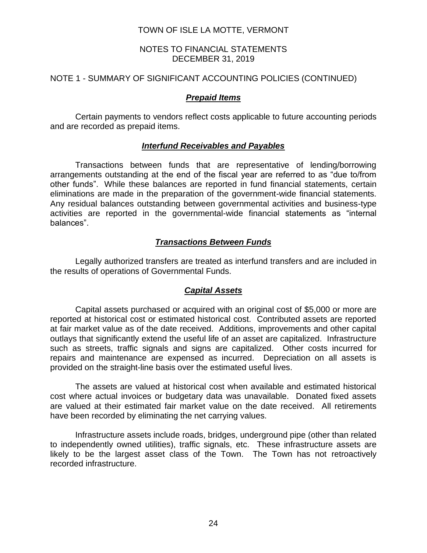## NOTES TO FINANCIAL STATEMENTS DECEMBER 31, 2019

## NOTE 1 - SUMMARY OF SIGNIFICANT ACCOUNTING POLICIES (CONTINUED)

## *Prepaid Items*

Certain payments to vendors reflect costs applicable to future accounting periods and are recorded as prepaid items.

## *Interfund Receivables and Payables*

Transactions between funds that are representative of lending/borrowing arrangements outstanding at the end of the fiscal year are referred to as "due to/from other funds". While these balances are reported in fund financial statements, certain eliminations are made in the preparation of the government-wide financial statements. Any residual balances outstanding between governmental activities and business-type activities are reported in the governmental-wide financial statements as "internal balances".

## *Transactions Between Funds*

Legally authorized transfers are treated as interfund transfers and are included in the results of operations of Governmental Funds.

#### *Capital Assets*

Capital assets purchased or acquired with an original cost of \$5,000 or more are reported at historical cost or estimated historical cost. Contributed assets are reported at fair market value as of the date received. Additions, improvements and other capital outlays that significantly extend the useful life of an asset are capitalized. Infrastructure such as streets, traffic signals and signs are capitalized. Other costs incurred for repairs and maintenance are expensed as incurred. Depreciation on all assets is provided on the straight-line basis over the estimated useful lives.

The assets are valued at historical cost when available and estimated historical cost where actual invoices or budgetary data was unavailable. Donated fixed assets are valued at their estimated fair market value on the date received. All retirements have been recorded by eliminating the net carrying values.

Infrastructure assets include roads, bridges, underground pipe (other than related to independently owned utilities), traffic signals, etc. These infrastructure assets are likely to be the largest asset class of the Town. The Town has not retroactively recorded infrastructure.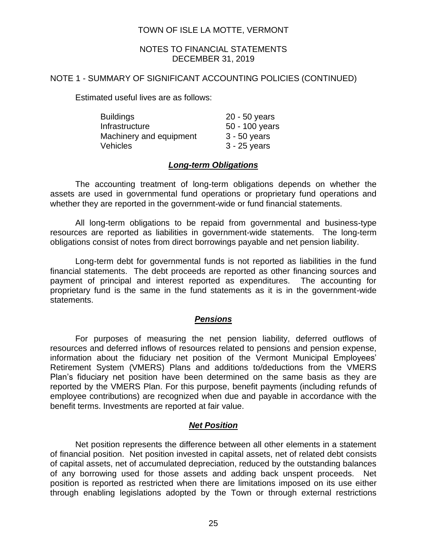## NOTES TO FINANCIAL STATEMENTS DECEMBER 31, 2019

#### NOTE 1 - SUMMARY OF SIGNIFICANT ACCOUNTING POLICIES (CONTINUED)

Estimated useful lives are as follows:

| <b>Buildings</b>        | $20 - 50$ years |
|-------------------------|-----------------|
| Infrastructure          | 50 - 100 years  |
| Machinery and equipment | $3 - 50$ years  |
| Vehicles                | $3 - 25$ years  |

## *Long-term Obligations*

The accounting treatment of long-term obligations depends on whether the assets are used in governmental fund operations or proprietary fund operations and whether they are reported in the government-wide or fund financial statements.

All long-term obligations to be repaid from governmental and business-type resources are reported as liabilities in government-wide statements. The long-term obligations consist of notes from direct borrowings payable and net pension liability.

Long-term debt for governmental funds is not reported as liabilities in the fund financial statements. The debt proceeds are reported as other financing sources and payment of principal and interest reported as expenditures. The accounting for proprietary fund is the same in the fund statements as it is in the government-wide statements.

## *Pensions*

For purposes of measuring the net pension liability, deferred outflows of resources and deferred inflows of resources related to pensions and pension expense, information about the fiduciary net position of the Vermont Municipal Employees' Retirement System (VMERS) Plans and additions to/deductions from the VMERS Plan's fiduciary net position have been determined on the same basis as they are reported by the VMERS Plan. For this purpose, benefit payments (including refunds of employee contributions) are recognized when due and payable in accordance with the benefit terms. Investments are reported at fair value.

## *Net Position*

Net position represents the difference between all other elements in a statement of financial position. Net position invested in capital assets, net of related debt consists of capital assets, net of accumulated depreciation, reduced by the outstanding balances of any borrowing used for those assets and adding back unspent proceeds. Net position is reported as restricted when there are limitations imposed on its use either through enabling legislations adopted by the Town or through external restrictions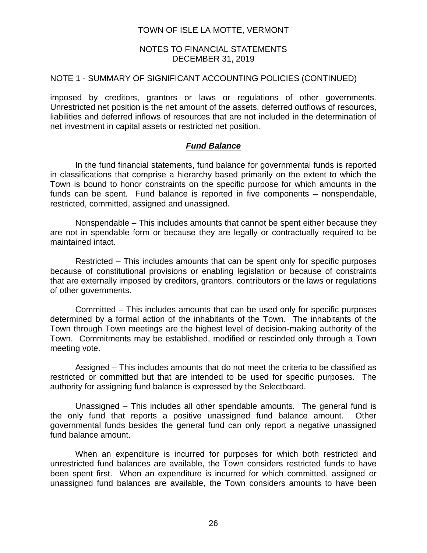#### NOTES TO FINANCIAL STATEMENTS DECEMBER 31, 2019

#### NOTE 1 - SUMMARY OF SIGNIFICANT ACCOUNTING POLICIES (CONTINUED)

imposed by creditors, grantors or laws or regulations of other governments. Unrestricted net position is the net amount of the assets, deferred outflows of resources, liabilities and deferred inflows of resources that are not included in the determination of net investment in capital assets or restricted net position.

## *Fund Balance*

In the fund financial statements, fund balance for governmental funds is reported in classifications that comprise a hierarchy based primarily on the extent to which the Town is bound to honor constraints on the specific purpose for which amounts in the funds can be spent. Fund balance is reported in five components – nonspendable, restricted, committed, assigned and unassigned.

Nonspendable – This includes amounts that cannot be spent either because they are not in spendable form or because they are legally or contractually required to be maintained intact.

Restricted – This includes amounts that can be spent only for specific purposes because of constitutional provisions or enabling legislation or because of constraints that are externally imposed by creditors, grantors, contributors or the laws or regulations of other governments.

Committed – This includes amounts that can be used only for specific purposes determined by a formal action of the inhabitants of the Town. The inhabitants of the Town through Town meetings are the highest level of decision-making authority of the Town. Commitments may be established, modified or rescinded only through a Town meeting vote.

Assigned – This includes amounts that do not meet the criteria to be classified as restricted or committed but that are intended to be used for specific purposes. The authority for assigning fund balance is expressed by the Selectboard.

Unassigned – This includes all other spendable amounts. The general fund is the only fund that reports a positive unassigned fund balance amount. Other governmental funds besides the general fund can only report a negative unassigned fund balance amount.

When an expenditure is incurred for purposes for which both restricted and unrestricted fund balances are available, the Town considers restricted funds to have been spent first. When an expenditure is incurred for which committed, assigned or unassigned fund balances are available, the Town considers amounts to have been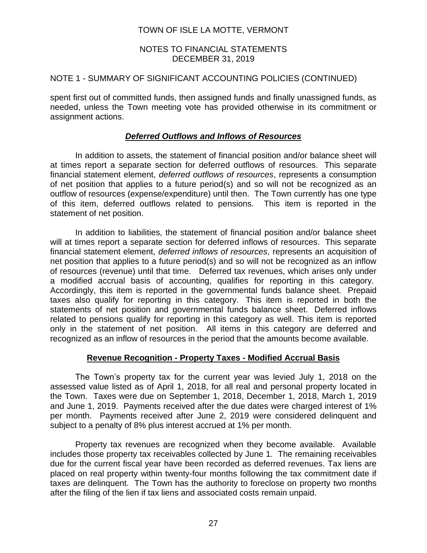## NOTES TO FINANCIAL STATEMENTS DECEMBER 31, 2019

## NOTE 1 - SUMMARY OF SIGNIFICANT ACCOUNTING POLICIES (CONTINUED)

spent first out of committed funds, then assigned funds and finally unassigned funds, as needed, unless the Town meeting vote has provided otherwise in its commitment or assignment actions.

## *Deferred Outflows and Inflows of Resources*

In addition to assets, the statement of financial position and/or balance sheet will at times report a separate section for deferred outflows of resources. This separate financial statement element, *deferred outflows of resources*, represents a consumption of net position that applies to a future period(s) and so will not be recognized as an outflow of resources (expense/expenditure) until then. The Town currently has one type of this item, deferred outflows related to pensions. This item is reported in the statement of net position.

In addition to liabilities, the statement of financial position and/or balance sheet will at times report a separate section for deferred inflows of resources. This separate financial statement element, *deferred inflows of resources*, represents an acquisition of net position that applies to a future period(s) and so will not be recognized as an inflow of resources (revenue) until that time. Deferred tax revenues, which arises only under a modified accrual basis of accounting, qualifies for reporting in this category. Accordingly, this item is reported in the governmental funds balance sheet. Prepaid taxes also qualify for reporting in this category. This item is reported in both the statements of net position and governmental funds balance sheet. Deferred inflows related to pensions qualify for reporting in this category as well. This item is reported only in the statement of net position. All items in this category are deferred and recognized as an inflow of resources in the period that the amounts become available.

#### **Revenue Recognition - Property Taxes - Modified Accrual Basis**

The Town's property tax for the current year was levied July 1, 2018 on the assessed value listed as of April 1, 2018, for all real and personal property located in the Town. Taxes were due on September 1, 2018, December 1, 2018, March 1, 2019 and June 1, 2019. Payments received after the due dates were charged interest of 1% per month. Payments received after June 2, 2019 were considered delinquent and subject to a penalty of 8% plus interest accrued at 1% per month.

Property tax revenues are recognized when they become available. Available includes those property tax receivables collected by June 1. The remaining receivables due for the current fiscal year have been recorded as deferred revenues. Tax liens are placed on real property within twenty-four months following the tax commitment date if taxes are delinquent. The Town has the authority to foreclose on property two months after the filing of the lien if tax liens and associated costs remain unpaid.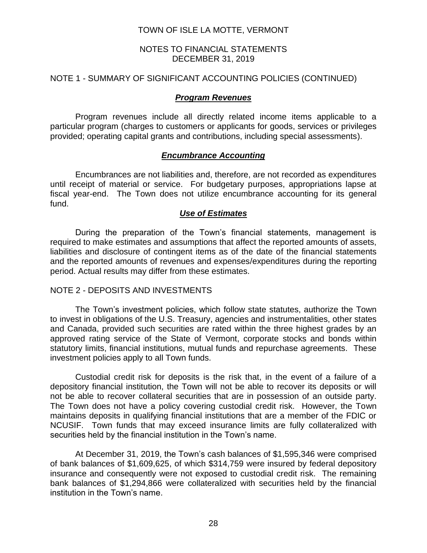## NOTES TO FINANCIAL STATEMENTS DECEMBER 31, 2019

## NOTE 1 - SUMMARY OF SIGNIFICANT ACCOUNTING POLICIES (CONTINUED)

## *Program Revenues*

Program revenues include all directly related income items applicable to a particular program (charges to customers or applicants for goods, services or privileges provided; operating capital grants and contributions, including special assessments).

## *Encumbrance Accounting*

Encumbrances are not liabilities and, therefore, are not recorded as expenditures until receipt of material or service. For budgetary purposes, appropriations lapse at fiscal year-end. The Town does not utilize encumbrance accounting for its general fund.

#### *Use of Estimates*

During the preparation of the Town's financial statements, management is required to make estimates and assumptions that affect the reported amounts of assets, liabilities and disclosure of contingent items as of the date of the financial statements and the reported amounts of revenues and expenses/expenditures during the reporting period. Actual results may differ from these estimates.

#### NOTE 2 - DEPOSITS AND INVESTMENTS

The Town's investment policies, which follow state statutes, authorize the Town to invest in obligations of the U.S. Treasury, agencies and instrumentalities, other states and Canada, provided such securities are rated within the three highest grades by an approved rating service of the State of Vermont, corporate stocks and bonds within statutory limits, financial institutions, mutual funds and repurchase agreements. These investment policies apply to all Town funds.

Custodial credit risk for deposits is the risk that, in the event of a failure of a depository financial institution, the Town will not be able to recover its deposits or will not be able to recover collateral securities that are in possession of an outside party. The Town does not have a policy covering custodial credit risk. However, the Town maintains deposits in qualifying financial institutions that are a member of the FDIC or NCUSIF. Town funds that may exceed insurance limits are fully collateralized with securities held by the financial institution in the Town's name.

At December 31, 2019, the Town's cash balances of \$1,595,346 were comprised of bank balances of \$1,609,625, of which \$314,759 were insured by federal depository insurance and consequently were not exposed to custodial credit risk. The remaining bank balances of \$1,294,866 were collateralized with securities held by the financial institution in the Town's name.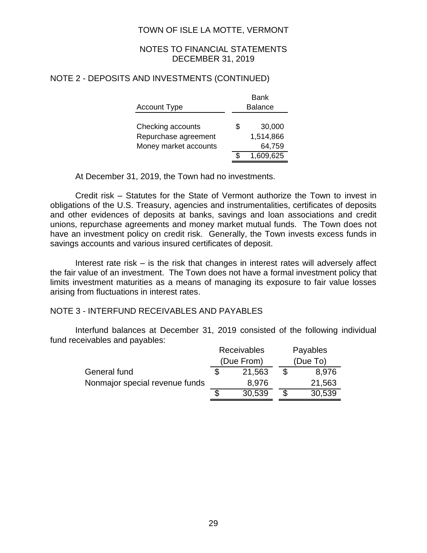## NOTES TO FINANCIAL STATEMENTS DECEMBER 31, 2019

## NOTE 2 - DEPOSITS AND INVESTMENTS (CONTINUED)

|                       | Bank           |  |  |
|-----------------------|----------------|--|--|
| <b>Account Type</b>   | <b>Balance</b> |  |  |
|                       |                |  |  |
| Checking accounts     | \$<br>30,000   |  |  |
| Repurchase agreement  | 1,514,866      |  |  |
| Money market accounts | 64,759         |  |  |
|                       | 1,609,625      |  |  |

At December 31, 2019, the Town had no investments.

Credit risk – Statutes for the State of Vermont authorize the Town to invest in obligations of the U.S. Treasury, agencies and instrumentalities, certificates of deposits and other evidences of deposits at banks, savings and loan associations and credit unions, repurchase agreements and money market mutual funds. The Town does not have an investment policy on credit risk. Generally, the Town invests excess funds in savings accounts and various insured certificates of deposit.

Interest rate risk – is the risk that changes in interest rates will adversely affect the fair value of an investment. The Town does not have a formal investment policy that limits investment maturities as a means of managing its exposure to fair value losses arising from fluctuations in interest rates.

## NOTE 3 - INTERFUND RECEIVABLES AND PAYABLES

Interfund balances at December 31, 2019 consisted of the following individual fund receivables and payables:

|                                | <b>Receivables</b> |            | Payables |
|--------------------------------|--------------------|------------|----------|
|                                |                    | (Due From) | (Due To) |
| General fund                   |                    | 21,563     | 8,976    |
| Nonmajor special revenue funds |                    | 8,976      | 21,563   |
|                                |                    | 30,539     | 30,539   |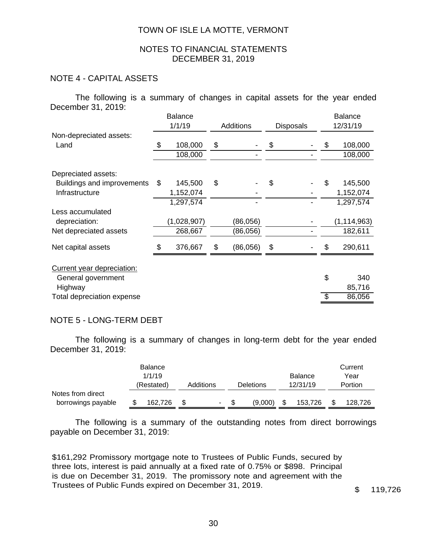#### NOTES TO FINANCIAL STATEMENTS DECEMBER 31, 2019

## NOTE 4 - CAPITAL ASSETS

The following is a summary of changes in capital assets for the year ended December 31, 2019:

|                            | <b>Balance</b> |             |    |                  |    |                  | <b>Balance</b> |               |  |
|----------------------------|----------------|-------------|----|------------------|----|------------------|----------------|---------------|--|
|                            |                | 1/1/19      |    | <b>Additions</b> |    | <b>Disposals</b> |                | 12/31/19      |  |
| Non-depreciated assets:    |                |             |    |                  |    |                  |                |               |  |
| Land                       | \$             | 108,000     | \$ |                  | \$ |                  | \$             | 108,000       |  |
|                            |                | 108,000     |    |                  |    |                  |                | 108,000       |  |
| Depreciated assets:        |                |             |    |                  |    |                  |                |               |  |
| Buildings and improvements | \$             | 145,500     | \$ |                  | \$ |                  | \$             | 145,500       |  |
| Infrastructure             |                | 1,152,074   |    |                  |    |                  |                | 1,152,074     |  |
|                            |                | 1,297,574   |    |                  |    |                  |                | 1,297,574     |  |
| Less accumulated           |                |             |    |                  |    |                  |                |               |  |
| depreciation:              |                | (1,028,907) |    | (86,056)         |    |                  |                | (1, 114, 963) |  |
| Net depreciated assets     |                | 268,667     |    | (86,056)         |    |                  |                | 182,611       |  |
| Net capital assets         |                | 376,667     | \$ | (86,056)         | \$ |                  | \$             | 290,611       |  |
| Current year depreciation: |                |             |    |                  |    |                  |                |               |  |
| General government         |                |             |    |                  |    |                  | \$             | 340           |  |
| Highway                    |                |             |    |                  |    |                  |                | 85,716        |  |
| Total depreciation expense |                |             |    |                  |    |                  | \$             | 86,056        |  |

#### NOTE 5 - LONG-TERM DEBT

The following is a summary of changes in long-term debt for the year ended December 31, 2019:

|                    | <b>Balance</b> |           |               |                | Current |
|--------------------|----------------|-----------|---------------|----------------|---------|
|                    | 1/1/19         |           |               | <b>Balance</b> | Year    |
|                    | (Restated)     | Additions | Deletions     | 12/31/19       | Portion |
| Notes from direct  |                |           |               |                |         |
| borrowings payable | 162.726        | ۰         | \$<br>(9,000) | \$<br>153,726  | 128.726 |

The following is a summary of the outstanding notes from direct borrowings payable on December 31, 2019:

\$161,292 Promissory mortgage note to Trustees of Public Funds, secured by three lots, interest is paid annually at a fixed rate of 0.75% or \$898. Principal is due on December 31, 2019. The promissory note and agreement with the Trustees of Public Funds expired on December 31, 2019.<br>
\$ 119,726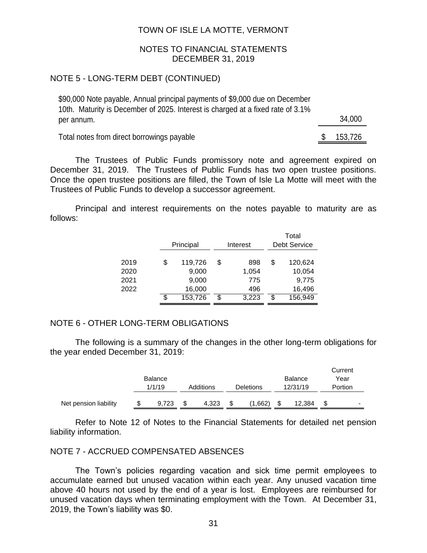#### NOTES TO FINANCIAL STATEMENTS DECEMBER 31, 2019

## NOTE 5 - LONG-TERM DEBT (CONTINUED)

| \$90,000 Note payable, Annual principal payments of \$9,000 due on December     |  |         |
|---------------------------------------------------------------------------------|--|---------|
| 10th. Maturity is December of 2025. Interest is charged at a fixed rate of 3.1% |  |         |
| per annum.                                                                      |  | 34.000  |
| Total notes from direct borrowings payable                                      |  | 153,726 |

The Trustees of Public Funds promissory note and agreement expired on December 31, 2019. The Trustees of Public Funds has two open trustee positions. Once the open trustee positions are filled, the Town of Isle La Motte will meet with the Trustees of Public Funds to develop a successor agreement.

Principal and interest requirements on the notes payable to maturity are as follows:

|      |    | Principal | Interest |       |   | Total<br><b>Debt Service</b> |
|------|----|-----------|----------|-------|---|------------------------------|
| 2019 | \$ | 119,726   | \$       | 898   | S | 120,624                      |
| 2020 |    | 9,000     |          | 1,054 |   | 10,054                       |
| 2021 |    | 9,000     |          | 775   |   | 9,775                        |
| 2022 |    | 16,000    |          | 496   |   | 16,496                       |
|      | S  | 153,726   | \$       | 3,223 | S | 156,949                      |

#### NOTE 6 - OTHER LONG-TERM OBLIGATIONS

The following is a summary of the changes in the other long-term obligations for the year ended December 31, 2019:

|                       |        | <b>Balance</b> |           |       |                  |         |          | <b>Balance</b> | Current<br>Year |
|-----------------------|--------|----------------|-----------|-------|------------------|---------|----------|----------------|-----------------|
|                       | 1/1/19 |                | Additions |       | <b>Deletions</b> |         | 12/31/19 |                | Portion         |
| Net pension liability |        | 9,723          | \$        | 4.323 | S                | (1,662) | \$       | 12.384         | $\blacksquare$  |

Refer to Note 12 of Notes to the Financial Statements for detailed net pension liability information.

#### NOTE 7 - ACCRUED COMPENSATED ABSENCES

The Town's policies regarding vacation and sick time permit employees to accumulate earned but unused vacation within each year. Any unused vacation time above 40 hours not used by the end of a year is lost. Employees are reimbursed for unused vacation days when terminating employment with the Town. At December 31, 2019, the Town's liability was \$0.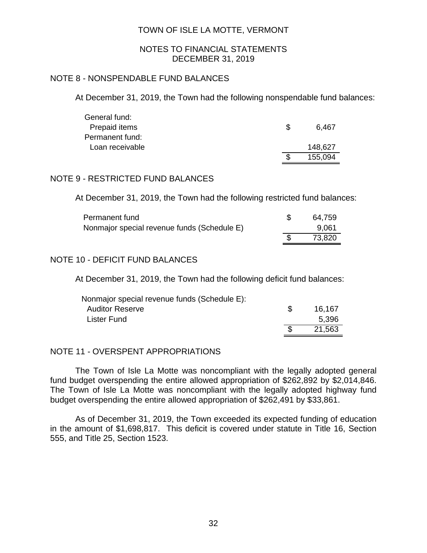#### NOTES TO FINANCIAL STATEMENTS DECEMBER 31, 2019

## NOTE 8 - NONSPENDABLE FUND BALANCES

At December 31, 2019, the Town had the following nonspendable fund balances:

| General fund:   |    |         |
|-----------------|----|---------|
| Prepaid items   | Ъ. | 6.467   |
| Permanent fund: |    |         |
| Loan receivable |    | 148,627 |
|                 |    | 155,094 |

## NOTE 9 - RESTRICTED FUND BALANCES

At December 31, 2019, the Town had the following restricted fund balances:

| Permanent fund                              | 64,759 |
|---------------------------------------------|--------|
| Nonmajor special revenue funds (Schedule E) | 9.061  |
|                                             | 73,820 |

# NOTE 10 - DEFICIT FUND BALANCES

At December 31, 2019, the Town had the following deficit fund balances:

| Nonmajor special revenue funds (Schedule E): |    |        |
|----------------------------------------------|----|--------|
| <b>Auditor Reserve</b>                       | S. | 16.167 |
| Lister Fund                                  |    | 5,396  |
|                                              |    | 21,563 |

## NOTE 11 - OVERSPENT APPROPRIATIONS

The Town of Isle La Motte was noncompliant with the legally adopted general fund budget overspending the entire allowed appropriation of \$262,892 by \$2,014,846. The Town of Isle La Motte was noncompliant with the legally adopted highway fund budget overspending the entire allowed appropriation of \$262,491 by \$33,861.

As of December 31, 2019, the Town exceeded its expected funding of education in the amount of \$1,698,817. This deficit is covered under statute in Title 16, Section 555, and Title 25, Section 1523.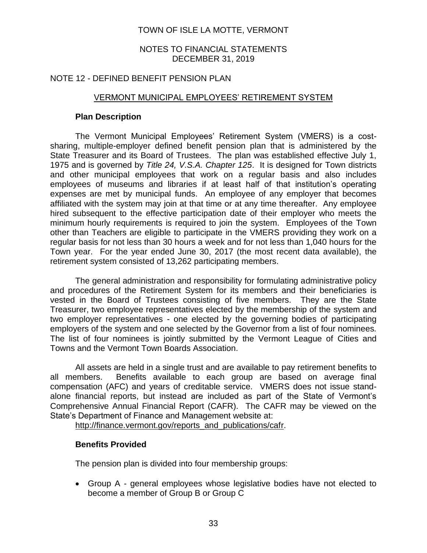#### NOTES TO FINANCIAL STATEMENTS DECEMBER 31, 2019

## NOTE 12 - DEFINED BENEFIT PENSION PLAN

## VERMONT MUNICIPAL EMPLOYEES' RETIREMENT SYSTEM

#### **Plan Description**

The Vermont Municipal Employees' Retirement System (VMERS) is a costsharing, multiple-employer defined benefit pension plan that is administered by the State Treasurer and its Board of Trustees. The plan was established effective July 1, 1975 and is governed by *Title 24, V.S.A. Chapter 125*. It is designed for Town districts and other municipal employees that work on a regular basis and also includes employees of museums and libraries if at least half of that institution's operating expenses are met by municipal funds. An employee of any employer that becomes affiliated with the system may join at that time or at any time thereafter. Any employee hired subsequent to the effective participation date of their employer who meets the minimum hourly requirements is required to join the system. Employees of the Town other than Teachers are eligible to participate in the VMERS providing they work on a regular basis for not less than 30 hours a week and for not less than 1,040 hours for the Town year. For the year ended June 30, 2017 (the most recent data available), the retirement system consisted of 13,262 participating members.

The general administration and responsibility for formulating administrative policy and procedures of the Retirement System for its members and their beneficiaries is vested in the Board of Trustees consisting of five members. They are the State Treasurer, two employee representatives elected by the membership of the system and two employer representatives - one elected by the governing bodies of participating employers of the system and one selected by the Governor from a list of four nominees. The list of four nominees is jointly submitted by the Vermont League of Cities and Towns and the Vermont Town Boards Association.

All assets are held in a single trust and are available to pay retirement benefits to all members. Benefits available to each group are based on average final compensation (AFC) and years of creditable service. VMERS does not issue standalone financial reports, but instead are included as part of the State of Vermont's Comprehensive Annual Financial Report (CAFR). The CAFR may be viewed on the State's Department of Finance and Management website at:

[http://finance.vermont.gov/reports\\_and\\_publications/cafr.](http://finance.vermont.gov/reports_and_publications/cafr)

## **Benefits Provided**

The pension plan is divided into four membership groups:

• Group A - general employees whose legislative bodies have not elected to become a member of Group B or Group C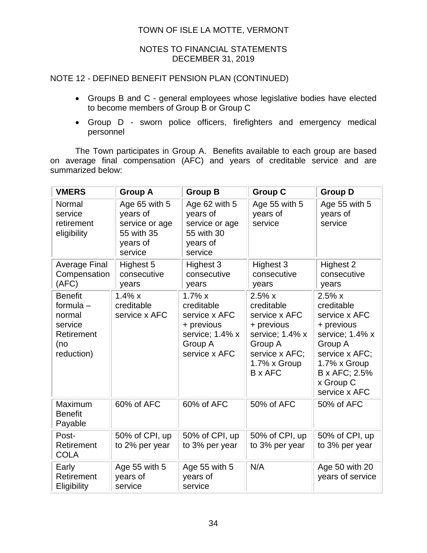## NOTES TO FINANCIAL STATEMENTS DECEMBER 31, 2019

# NOTE 12 - DEFINED BENEFIT PENSION PLAN (CONTINUED)

- Groups B and C general employees whose legislative bodies have elected to become members of Group B or Group C
- Group D sworn police officers, firefighters and emergency medical personnel

The Town participates in Group A. Benefits available to each group are based on average final compensation (AFC) and years of creditable service and are summarized below:

| <b>VMERS</b>                                                                          | <b>Group A</b>                                                                   | <b>Group B</b>                                                                                        | <b>Group C</b>                                                                                                                | <b>Group D</b>                                                                                                                                                    |
|---------------------------------------------------------------------------------------|----------------------------------------------------------------------------------|-------------------------------------------------------------------------------------------------------|-------------------------------------------------------------------------------------------------------------------------------|-------------------------------------------------------------------------------------------------------------------------------------------------------------------|
| Normal<br>service<br>retirement<br>eligibility                                        | Age 65 with 5<br>years of<br>service or age<br>55 with 35<br>years of<br>service | Age 62 with 5<br>years of<br>service or age<br>55 with 30<br>years of<br>service                      | Age 55 with 5<br>years of<br>service                                                                                          | Age 55 with 5<br>years of<br>service                                                                                                                              |
| <b>Average Final</b><br>Compensation<br>(AFC)                                         | Highest 5<br>consecutive<br>years                                                | Highest 3<br>consecutive<br>years                                                                     | Highest 3<br>consecutive<br>years                                                                                             | Highest 2<br>consecutive<br>years                                                                                                                                 |
| <b>Benefit</b><br>formula $-$<br>normal<br>service<br>Retirement<br>(no<br>reduction) | $1.4\% x$<br>creditable<br>service x AFC                                         | $1.7\%$ x<br>creditable<br>service x AFC<br>+ previous<br>service; 1.4% x<br>Group A<br>service x AFC | 2.5%x<br>creditable<br>service x AFC<br>+ previous<br>service; 1.4% x<br>Group A<br>service x AFC;<br>1.7% x Group<br>B x AFC | 2.5%x<br>creditable<br>service x AFC<br>+ previous<br>service; 1.4% x<br>Group A<br>service x AFC;<br>1.7% x Group<br>B x AFC; 2.5%<br>x Group C<br>service x AFC |
| Maximum<br><b>Benefit</b><br>Payable                                                  | 60% of AFC                                                                       | 60% of AFC                                                                                            | 50% of AFC                                                                                                                    | 50% of AFC                                                                                                                                                        |
| Post-<br>Retirement<br><b>COLA</b>                                                    | 50% of CPI, up<br>to 2% per year                                                 | 50% of CPI, up<br>to 3% per year                                                                      | 50% of CPI, up<br>to 3% per year                                                                                              | 50% of CPI, up<br>to 3% per year                                                                                                                                  |
| Early<br>Retirement<br>Eligibility                                                    | Age 55 with 5<br>years of<br>service                                             | Age 55 with 5<br>years of<br>service                                                                  | N/A                                                                                                                           | Age 50 with 20<br>years of service                                                                                                                                |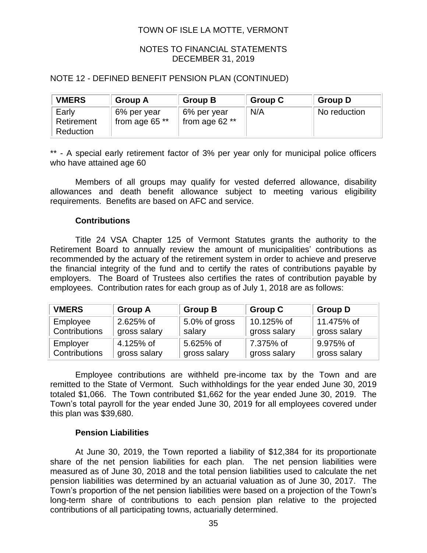## NOTES TO FINANCIAL STATEMENTS DECEMBER 31, 2019

## NOTE 12 - DEFINED BENEFIT PENSION PLAN (CONTINUED)

| <b>VMERS</b>                     | <b>Group A</b>                  | <b>Group B</b>                  | <b>Group C</b> | <b>Group D</b> |
|----------------------------------|---------------------------------|---------------------------------|----------------|----------------|
| Early<br>Retirement<br>Reduction | 6% per year<br>from age 65 $**$ | 6% per year<br>from age 62 $**$ | N/A            | No reduction   |

\*\* - A special early retirement factor of 3% per year only for municipal police officers who have attained age 60

Members of all groups may qualify for vested deferred allowance, disability allowances and death benefit allowance subject to meeting various eligibility requirements. Benefits are based on AFC and service.

#### **Contributions**

Title 24 VSA Chapter 125 of Vermont Statutes grants the authority to the Retirement Board to annually review the amount of municipalities' contributions as recommended by the actuary of the retirement system in order to achieve and preserve the financial integrity of the fund and to certify the rates of contributions payable by employers. The Board of Trustees also certifies the rates of contribution payable by employees. Contribution rates for each group as of July 1, 2018 are as follows:

| <b>VMERS</b>  | <b>Group A</b> | <b>Group B</b> | <b>Group C</b> | <b>Group D</b> |
|---------------|----------------|----------------|----------------|----------------|
| Employee      | 2.625% of      | 5.0% of gross  | 10.125% of     | 11.475% of     |
| Contributions | gross salary   | salary         | gross salary   | gross salary   |
| Employer      | 4.125% of      | 5.625% of      | 7.375% of      | 9.975% of      |
| Contributions | gross salary   | gross salary   | gross salary   | gross salary   |

Employee contributions are withheld pre-income tax by the Town and are remitted to the State of Vermont. Such withholdings for the year ended June 30, 2019 totaled \$1,066. The Town contributed \$1,662 for the year ended June 30, 2019. The Town's total payroll for the year ended June 30, 2019 for all employees covered under this plan was \$39,680.

#### **Pension Liabilities**

At June 30, 2019, the Town reported a liability of \$12,384 for its proportionate share of the net pension liabilities for each plan. The net pension liabilities were measured as of June 30, 2018 and the total pension liabilities used to calculate the net pension liabilities was determined by an actuarial valuation as of June 30, 2017. The Town's proportion of the net pension liabilities were based on a projection of the Town's long-term share of contributions to each pension plan relative to the projected contributions of all participating towns, actuarially determined.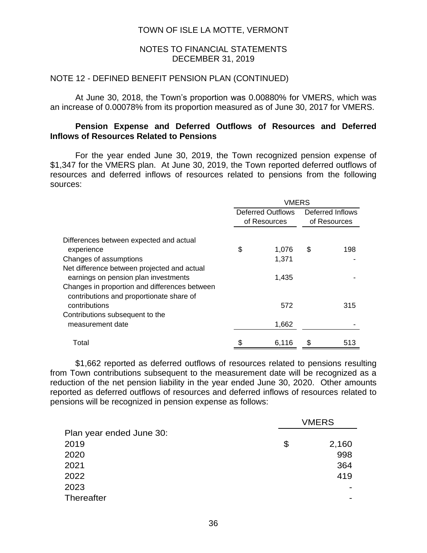#### NOTES TO FINANCIAL STATEMENTS DECEMBER 31, 2019

#### NOTE 12 - DEFINED BENEFIT PENSION PLAN (CONTINUED)

At June 30, 2018, the Town's proportion was 0.00880% for VMERS, which was an increase of 0.00078% from its proportion measured as of June 30, 2017 for VMERS.

## **Pension Expense and Deferred Outflows of Resources and Deferred Inflows of Resources Related to Pensions**

For the year ended June 30, 2019, the Town recognized pension expense of \$1,347 for the VMERS plan. At June 30, 2019, the Town reported deferred outflows of resources and deferred inflows of resources related to pensions from the following sources:

|                                                                                                                                                                                  | <b>VMERS</b> |                                   |    |                                  |  |  |
|----------------------------------------------------------------------------------------------------------------------------------------------------------------------------------|--------------|-----------------------------------|----|----------------------------------|--|--|
|                                                                                                                                                                                  |              | Deferred Outflows<br>of Resources |    | Deferred Inflows<br>of Resources |  |  |
| Differences between expected and actual<br>experience                                                                                                                            | \$           | 1,076                             | \$ | 198                              |  |  |
| Changes of assumptions                                                                                                                                                           |              | 1,371                             |    |                                  |  |  |
| Net difference between projected and actual<br>earnings on pension plan investments<br>Changes in proportion and differences between<br>contributions and proportionate share of |              | 1,435                             |    |                                  |  |  |
| contributions                                                                                                                                                                    |              | 572                               |    | 315                              |  |  |
| Contributions subsequent to the<br>measurement date                                                                                                                              |              | 1,662                             |    |                                  |  |  |
| Total                                                                                                                                                                            | \$           | 6.116                             | S  | 513                              |  |  |

\$1,662 reported as deferred outflows of resources related to pensions resulting from Town contributions subsequent to the measurement date will be recognized as a reduction of the net pension liability in the year ended June 30, 2020. Other amounts reported as deferred outflows of resources and deferred inflows of resources related to pensions will be recognized in pension expense as follows:

|                          | <b>VMERS</b>   |
|--------------------------|----------------|
| Plan year ended June 30: |                |
| 2019                     | \$<br>2,160    |
| 2020                     | 998            |
| 2021                     | 364            |
| 2022                     | 419            |
| 2023                     |                |
| <b>Thereafter</b>        | $\blacksquare$ |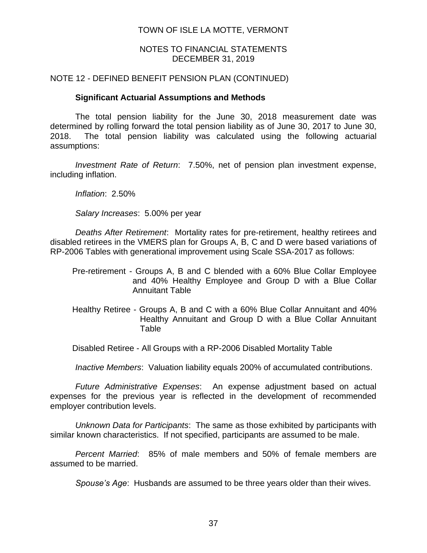## NOTES TO FINANCIAL STATEMENTS DECEMBER 31, 2019

## NOTE 12 - DEFINED BENEFIT PENSION PLAN (CONTINUED)

## **Significant Actuarial Assumptions and Methods**

The total pension liability for the June 30, 2018 measurement date was determined by rolling forward the total pension liability as of June 30, 2017 to June 30, 2018. The total pension liability was calculated using the following actuarial assumptions:

*Investment Rate of Return*: 7.50%, net of pension plan investment expense, including inflation.

*Inflation*: 2.50%

*Salary Increases*: 5.00% per year

*Deaths After Retirement*: Mortality rates for pre-retirement, healthy retirees and disabled retirees in the VMERS plan for Groups A, B, C and D were based variations of RP-2006 Tables with generational improvement using Scale SSA-2017 as follows:

- Pre-retirement Groups A, B and C blended with a 60% Blue Collar Employee and 40% Healthy Employee and Group D with a Blue Collar Annuitant Table
- Healthy Retiree Groups A, B and C with a 60% Blue Collar Annuitant and 40% Healthy Annuitant and Group D with a Blue Collar Annuitant Table

Disabled Retiree - All Groups with a RP-2006 Disabled Mortality Table

*Inactive Members*: Valuation liability equals 200% of accumulated contributions.

*Future Administrative Expenses*: An expense adjustment based on actual expenses for the previous year is reflected in the development of recommended employer contribution levels.

*Unknown Data for Participants*: The same as those exhibited by participants with similar known characteristics. If not specified, participants are assumed to be male.

*Percent Married*: 85% of male members and 50% of female members are assumed to be married.

*Spouse's Age*: Husbands are assumed to be three years older than their wives.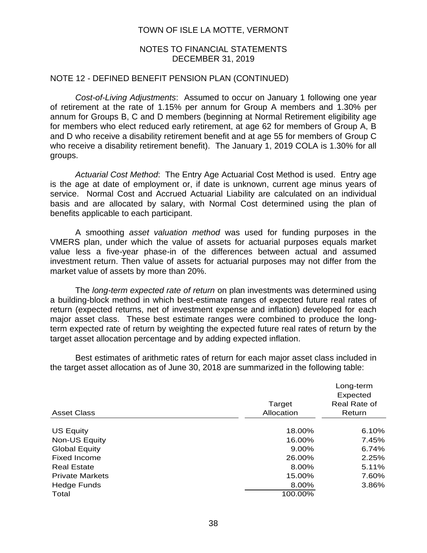#### NOTES TO FINANCIAL STATEMENTS DECEMBER 31, 2019

#### NOTE 12 - DEFINED BENEFIT PENSION PLAN (CONTINUED)

*Cost-of-Living Adjustments*: Assumed to occur on January 1 following one year of retirement at the rate of 1.15% per annum for Group A members and 1.30% per annum for Groups B, C and D members (beginning at Normal Retirement eligibility age for members who elect reduced early retirement, at age 62 for members of Group A, B and D who receive a disability retirement benefit and at age 55 for members of Group C who receive a disability retirement benefit). The January 1, 2019 COLA is 1.30% for all groups.

*Actuarial Cost Method*: The Entry Age Actuarial Cost Method is used. Entry age is the age at date of employment or, if date is unknown, current age minus years of service. Normal Cost and Accrued Actuarial Liability are calculated on an individual basis and are allocated by salary, with Normal Cost determined using the plan of benefits applicable to each participant.

A smoothing *asset valuation method* was used for funding purposes in the VMERS plan, under which the value of assets for actuarial purposes equals market value less a five-year phase-in of the differences between actual and assumed investment return. Then value of assets for actuarial purposes may not differ from the market value of assets by more than 20%.

The *long-term expected rate of return* on plan investments was determined using a building-block method in which best-estimate ranges of expected future real rates of return (expected returns, net of investment expense and inflation) developed for each major asset class. These best estimate ranges were combined to produce the longterm expected rate of return by weighting the expected future real rates of return by the target asset allocation percentage and by adding expected inflation.

Best estimates of arithmetic rates of return for each major asset class included in the target asset allocation as of June 30, 2018 are summarized in the following table:

|                        | Target     | Long-term<br>Expected<br>Real Rate of |
|------------------------|------------|---------------------------------------|
| <b>Asset Class</b>     | Allocation | Return                                |
| <b>US Equity</b>       | 18.00%     | 6.10%                                 |
| Non-US Equity          | 16.00%     | 7.45%                                 |
| <b>Global Equity</b>   | $9.00\%$   | 6.74%                                 |
| Fixed Income           | 26.00%     | 2.25%                                 |
| <b>Real Estate</b>     | 8.00%      | 5.11%                                 |
| <b>Private Markets</b> | 15.00%     | 7.60%                                 |
| Hedge Funds            | 8.00%      | 3.86%                                 |
| Total                  | 100.00%    |                                       |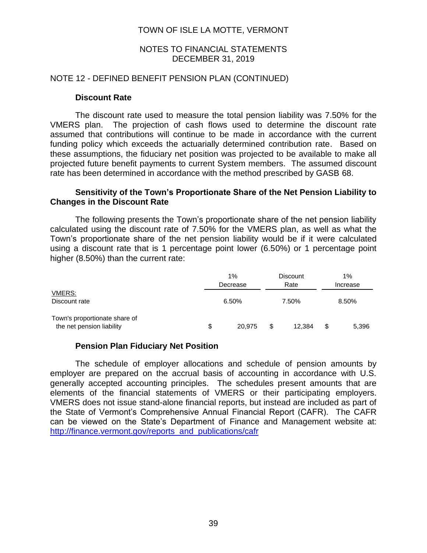## NOTES TO FINANCIAL STATEMENTS DECEMBER 31, 2019

#### NOTE 12 - DEFINED BENEFIT PENSION PLAN (CONTINUED)

#### **Discount Rate**

The discount rate used to measure the total pension liability was 7.50% for the VMERS plan. The projection of cash flows used to determine the discount rate assumed that contributions will continue to be made in accordance with the current funding policy which exceeds the actuarially determined contribution rate. Based on these assumptions, the fiduciary net position was projected to be available to make all projected future benefit payments to current System members. The assumed discount rate has been determined in accordance with the method prescribed by GASB 68.

## **Sensitivity of the Town's Proportionate Share of the Net Pension Liability to Changes in the Discount Rate**

The following presents the Town's proportionate share of the net pension liability calculated using the discount rate of 7.50% for the VMERS plan, as well as what the Town's proportionate share of the net pension liability would be if it were calculated using a discount rate that is 1 percentage point lower (6.50%) or 1 percentage point higher (8.50%) than the current rate:

|                                                            |    | 1%<br>Decrease | <b>Discount</b><br>Rate | 1%<br>Increase |       |  |
|------------------------------------------------------------|----|----------------|-------------------------|----------------|-------|--|
| <b>VMERS:</b><br>Discount rate                             |    | 6.50%          | 7.50%                   |                | 8.50% |  |
| Town's proportionate share of<br>the net pension liability | \$ | 20.975         | \$<br>12.384            | \$             | 5,396 |  |

## **Pension Plan Fiduciary Net Position**

The schedule of employer allocations and schedule of pension amounts by employer are prepared on the accrual basis of accounting in accordance with U.S. generally accepted accounting principles. The schedules present amounts that are elements of the financial statements of VMERS or their participating employers. VMERS does not issue stand-alone financial reports, but instead are included as part of the State of Vermont's Comprehensive Annual Financial Report (CAFR). The CAFR can be viewed on the State's Department of Finance and Management website at: [http://finance.vermont.gov/reports\\_and\\_publications/cafr](http://finance.vermont.gov/reports_and_publications/cafr)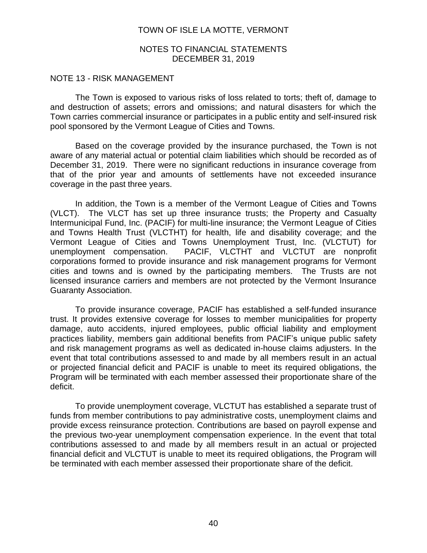#### NOTES TO FINANCIAL STATEMENTS DECEMBER 31, 2019

#### NOTE 13 - RISK MANAGEMENT

The Town is exposed to various risks of loss related to torts; theft of, damage to and destruction of assets; errors and omissions; and natural disasters for which the Town carries commercial insurance or participates in a public entity and self-insured risk pool sponsored by the Vermont League of Cities and Towns.

Based on the coverage provided by the insurance purchased, the Town is not aware of any material actual or potential claim liabilities which should be recorded as of December 31, 2019. There were no significant reductions in insurance coverage from that of the prior year and amounts of settlements have not exceeded insurance coverage in the past three years.

In addition, the Town is a member of the Vermont League of Cities and Towns (VLCT). The VLCT has set up three insurance trusts; the Property and Casualty Intermunicipal Fund, Inc. (PACIF) for multi-line insurance; the Vermont League of Cities and Towns Health Trust (VLCTHT) for health, life and disability coverage; and the Vermont League of Cities and Towns Unemployment Trust, Inc. (VLCTUT) for unemployment compensation. PACIF, VLCTHT and VLCTUT are nonprofit corporations formed to provide insurance and risk management programs for Vermont cities and towns and is owned by the participating members. The Trusts are not licensed insurance carriers and members are not protected by the Vermont Insurance Guaranty Association.

To provide insurance coverage, PACIF has established a self-funded insurance trust. It provides extensive coverage for losses to member municipalities for property damage, auto accidents, injured employees, public official liability and employment practices liability, members gain additional benefits from PACIF's unique public safety and risk management programs as well as dedicated in-house claims adjusters. In the event that total contributions assessed to and made by all members result in an actual or projected financial deficit and PACIF is unable to meet its required obligations, the Program will be terminated with each member assessed their proportionate share of the deficit.

To provide unemployment coverage, VLCTUT has established a separate trust of funds from member contributions to pay administrative costs, unemployment claims and provide excess reinsurance protection. Contributions are based on payroll expense and the previous two-year unemployment compensation experience. In the event that total contributions assessed to and made by all members result in an actual or projected financial deficit and VLCTUT is unable to meet its required obligations, the Program will be terminated with each member assessed their proportionate share of the deficit.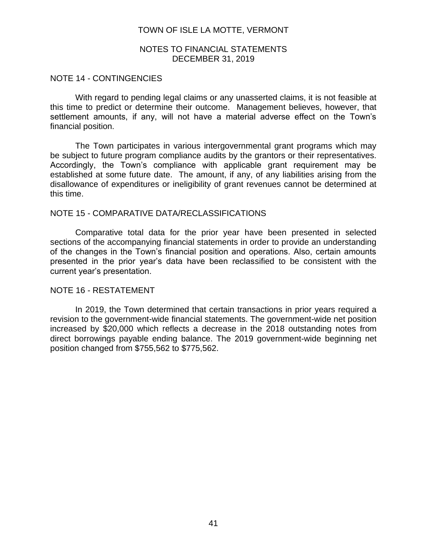#### NOTES TO FINANCIAL STATEMENTS DECEMBER 31, 2019

#### NOTE 14 - CONTINGENCIES

With regard to pending legal claims or any unasserted claims, it is not feasible at this time to predict or determine their outcome. Management believes, however, that settlement amounts, if any, will not have a material adverse effect on the Town's financial position.

The Town participates in various intergovernmental grant programs which may be subject to future program compliance audits by the grantors or their representatives. Accordingly, the Town's compliance with applicable grant requirement may be established at some future date. The amount, if any, of any liabilities arising from the disallowance of expenditures or ineligibility of grant revenues cannot be determined at this time.

#### NOTE 15 - COMPARATIVE DATA/RECLASSIFICATIONS

Comparative total data for the prior year have been presented in selected sections of the accompanying financial statements in order to provide an understanding of the changes in the Town's financial position and operations. Also, certain amounts presented in the prior year's data have been reclassified to be consistent with the current year's presentation.

#### NOTE 16 - RESTATEMENT

In 2019, the Town determined that certain transactions in prior years required a revision to the government-wide financial statements. The government-wide net position increased by \$20,000 which reflects a decrease in the 2018 outstanding notes from direct borrowings payable ending balance. The 2019 government-wide beginning net position changed from \$755,562 to \$775,562.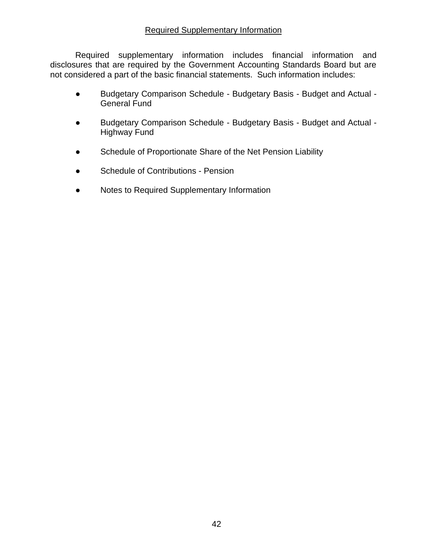## Required Supplementary Information

Required supplementary information includes financial information and disclosures that are required by the Government Accounting Standards Board but are not considered a part of the basic financial statements. Such information includes:

- Budgetary Comparison Schedule Budgetary Basis Budget and Actual General Fund
- Budgetary Comparison Schedule Budgetary Basis Budget and Actual Highway Fund
- Schedule of Proportionate Share of the Net Pension Liability
- Schedule of Contributions Pension
- Notes to Required Supplementary Information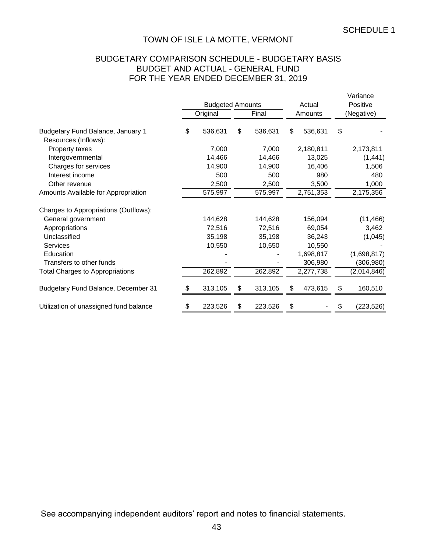## BUDGETARY COMPARISON SCHEDULE - BUDGETARY BASIS BUDGET AND ACTUAL - GENERAL FUND FOR THE YEAR ENDED DECEMBER 31, 2019

|                                                           | <b>Budgeted Amounts</b> |    |         | Actual        | Variance<br>Positive |             |  |
|-----------------------------------------------------------|-------------------------|----|---------|---------------|----------------------|-------------|--|
|                                                           | Original<br>Final       |    | Amounts |               | (Negative)           |             |  |
| Budgetary Fund Balance, January 1<br>Resources (Inflows): | \$<br>536,631           | \$ | 536,631 | \$<br>536,631 | \$                   |             |  |
| Property taxes                                            | 7,000                   |    | 7,000   | 2,180,811     |                      | 2,173,811   |  |
| Intergovernmental                                         | 14,466                  |    | 14,466  | 13,025        |                      | (1, 441)    |  |
| Charges for services                                      | 14,900                  |    | 14,900  | 16,406        |                      | 1,506       |  |
| Interest income                                           | 500                     |    | 500     | 980           |                      | 480         |  |
| Other revenue                                             | 2,500                   |    | 2,500   | 3,500         |                      | 1,000       |  |
| Amounts Available for Appropriation                       | 575,997                 |    | 575,997 | 2,751,353     |                      | 2,175,356   |  |
| Charges to Appropriations (Outflows):                     |                         |    |         |               |                      |             |  |
| General government                                        | 144,628                 |    | 144,628 | 156,094       |                      | (11, 466)   |  |
| Appropriations                                            | 72,516                  |    | 72,516  | 69,054        |                      | 3,462       |  |
| Unclassified                                              | 35,198                  |    | 35,198  | 36,243        |                      | (1,045)     |  |
| <b>Services</b>                                           | 10,550                  |    | 10,550  | 10,550        |                      |             |  |
| Education                                                 |                         |    |         | 1,698,817     |                      | (1,698,817) |  |
| Transfers to other funds                                  |                         |    |         | 306,980       |                      | (306, 980)  |  |
| <b>Total Charges to Appropriations</b>                    | 262,892                 |    | 262,892 | 2,277,738     |                      | (2,014,846) |  |
| Budgetary Fund Balance, December 31                       | \$<br>313,105           | S  | 313,105 | \$<br>473,615 | \$                   | 160,510     |  |
| Utilization of unassigned fund balance                    | \$<br>223,526           | \$ | 223,526 | \$            | \$                   | (223, 526)  |  |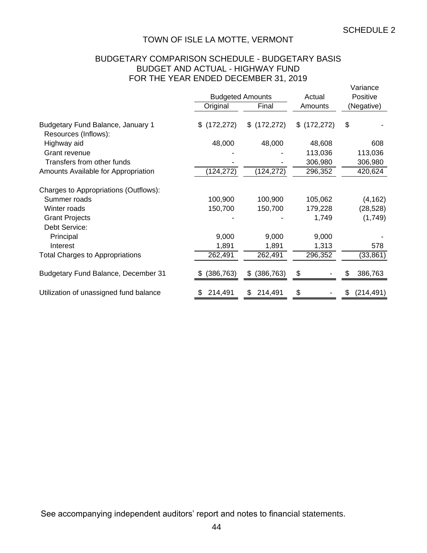## BUDGETARY COMPARISON SCHEDULE - BUDGETARY BASIS BUDGET AND ACTUAL - HIGHWAY FUND FOR THE YEAR ENDED DECEMBER 31, 2019

|                                                           |                  | <b>Budgeted Amounts</b> | Actual       | Variance<br>Positive |
|-----------------------------------------------------------|------------------|-------------------------|--------------|----------------------|
|                                                           | Original         | Final                   | Amounts      | (Negative)           |
| Budgetary Fund Balance, January 1<br>Resources (Inflows): | \$ (172, 272)    | \$(172, 272)            | \$(172, 272) | \$                   |
| Highway aid                                               | 48,000           | 48,000                  | 48,608       | 608                  |
| Grant revenue                                             |                  |                         | 113,036      | 113,036              |
| Transfers from other funds                                |                  |                         | 306,980      | 306,980              |
| Amounts Available for Appropriation                       | (124,272)        | (124, 272)              | 296,352      | 420,624              |
| Charges to Appropriations (Outflows):                     |                  |                         |              |                      |
| Summer roads                                              | 100,900          | 100,900                 | 105,062      | (4, 162)             |
| Winter roads                                              | 150,700          | 150,700                 | 179,228      | (28, 528)            |
| <b>Grant Projects</b><br>Debt Service:                    |                  |                         | 1,749        | (1,749)              |
| Principal                                                 | 9,000            | 9,000                   | 9,000        |                      |
| Interest                                                  | 1,891            | 1,891                   | 1,313        | 578                  |
| <b>Total Charges to Appropriations</b>                    | 262,491          | 262,491                 | 296,352      | (33, 861)            |
| <b>Budgetary Fund Balance, December 31</b>                | (386, 763)<br>SБ | (386, 763)<br>\$        | \$           | 386,763<br>Ж,        |
| Utilization of unassigned fund balance                    | 214,491<br>\$.   | 214,491<br>\$           | \$           | (214, 491)<br>æ.     |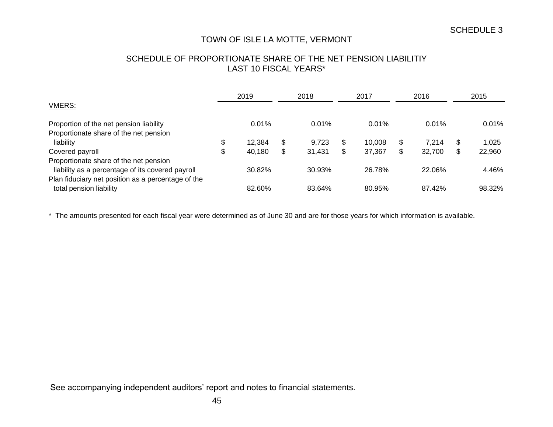## SCHEDULE OF PROPORTIONATE SHARE OF THE NET PENSION LIABILITIY LAST 10 FISCAL YEARS\*

|                                                    |    | 2019   |    | 2018   |    | 2017   | 2016 |        | 2015 |          |
|----------------------------------------------------|----|--------|----|--------|----|--------|------|--------|------|----------|
| <b>VMERS:</b>                                      |    |        |    |        |    |        |      |        |      |          |
| Proportion of the net pension liability            |    | 0.01%  |    | 0.01%  |    | 0.01%  |      | 0.01%  |      | $0.01\%$ |
| Proportionate share of the net pension             |    |        |    |        |    |        |      |        |      |          |
| liability                                          | \$ | 12,384 | \$ | 9.723  | \$ | 10,008 | \$   | 7.214  | Œ    | 1.025    |
| Covered payroll                                    | \$ | 40,180 | \$ | 31,431 | \$ | 37,367 | \$   | 32,700 | Œ    | 22,960   |
| Proportionate share of the net pension             |    |        |    |        |    |        |      |        |      |          |
| liability as a percentage of its covered payroll   |    | 30.82% |    | 30.93% |    | 26.78% |      | 22.06% |      | 4.46%    |
| Plan fiduciary net position as a percentage of the |    |        |    |        |    |        |      |        |      |          |
| total pension liability                            |    | 82.60% |    | 83.64% |    | 80.95% |      | 87.42% |      | 98.32%   |

\* The amounts presented for each fiscal year were determined as of June 30 and are for those years for which information is available.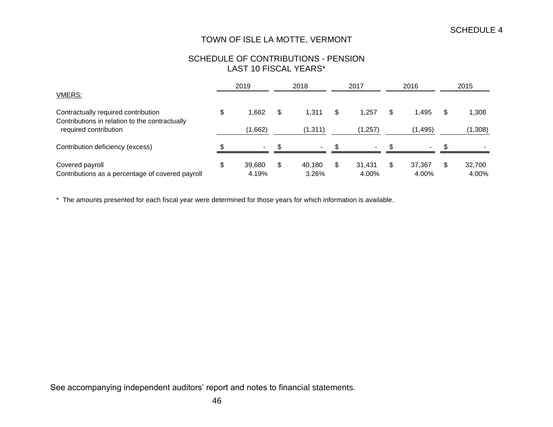## SCHEDULE OF CONTRIBUTIONS - PENSION LAST 10 FISCAL YEARS\*

|                                                                                       |    | 2019            |    | 2018            |    | 2017            |    | 2016            |  | 2015            |  |
|---------------------------------------------------------------------------------------|----|-----------------|----|-----------------|----|-----------------|----|-----------------|--|-----------------|--|
| <b>VMERS:</b>                                                                         |    |                 |    |                 |    |                 |    |                 |  |                 |  |
| Contractually required contribution<br>Contributions in relation to the contractually | \$ | .662            | \$ | 1.311           | \$ | 1.257           | S  | 1.495           |  | 1,308           |  |
| required contribution                                                                 |    | (1,662)         |    | (1, 311)        |    | (1,257)         |    | (1, 495)        |  | (1,308)         |  |
| Contribution deficiency (excess)                                                      |    | $\sim$          |    | $\sim$          |    | $\blacksquare$  |    | $\blacksquare$  |  |                 |  |
| Covered payroll<br>Contributions as a percentage of covered payroll                   | \$ | 39,680<br>4.19% | \$ | 40.180<br>3.26% | \$ | 31,431<br>4.00% | \$ | 37,367<br>4.00% |  | 32,700<br>4.00% |  |

\* The amounts presented for each fiscal year were determined for those years for which information is available.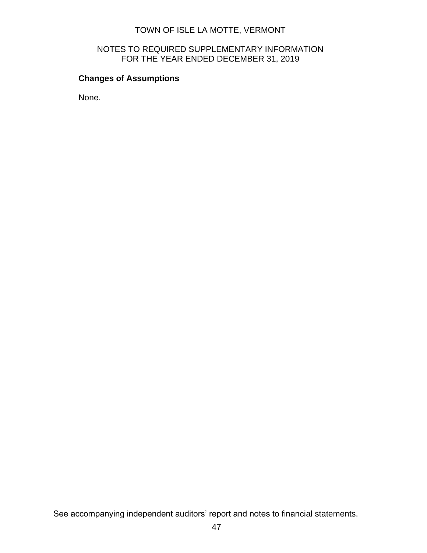## NOTES TO REQUIRED SUPPLEMENTARY INFORMATION FOR THE YEAR ENDED DECEMBER 31, 2019

# **Changes of Assumptions**

None.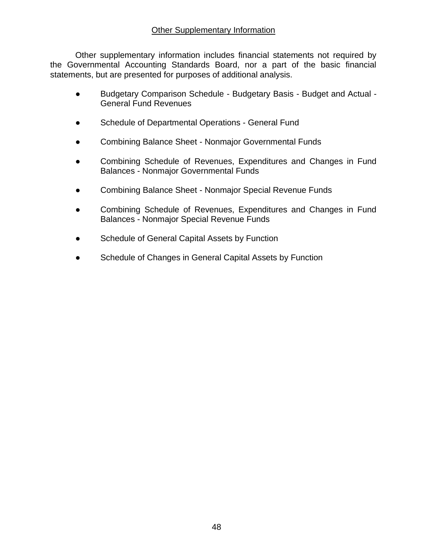Other supplementary information includes financial statements not required by the Governmental Accounting Standards Board, nor a part of the basic financial statements, but are presented for purposes of additional analysis.

- Budgetary Comparison Schedule Budgetary Basis Budget and Actual General Fund Revenues
- Schedule of Departmental Operations General Fund
- Combining Balance Sheet Nonmajor Governmental Funds
- Combining Schedule of Revenues, Expenditures and Changes in Fund Balances - Nonmajor Governmental Funds
- Combining Balance Sheet Nonmajor Special Revenue Funds
- Combining Schedule of Revenues, Expenditures and Changes in Fund Balances - Nonmajor Special Revenue Funds
- Schedule of General Capital Assets by Function
- Schedule of Changes in General Capital Assets by Function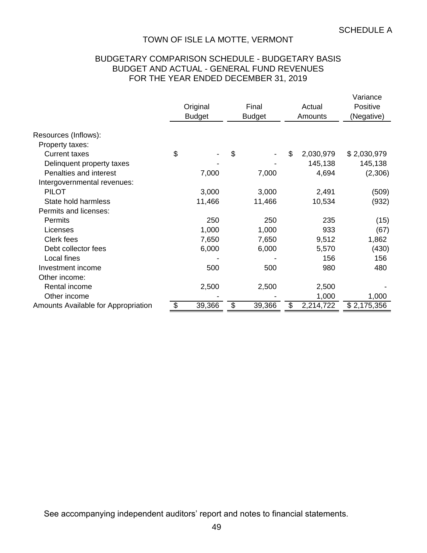## BUDGETARY COMPARISON SCHEDULE - BUDGETARY BASIS BUDGET AND ACTUAL - GENERAL FUND REVENUES FOR THE YEAR ENDED DECEMBER 31, 2019

|                                     |               |               |        |                 | Variance    |
|-------------------------------------|---------------|---------------|--------|-----------------|-------------|
|                                     | Original      |               | Final  | Actual          | Positive    |
|                                     | <b>Budget</b> | <b>Budget</b> |        | Amounts         | (Negative)  |
| Resources (Inflows):                |               |               |        |                 |             |
| Property taxes:                     |               |               |        |                 |             |
| <b>Current taxes</b>                | \$            | \$            |        | \$<br>2,030,979 | \$2,030,979 |
|                                     |               |               |        |                 |             |
| Delinquent property taxes           |               |               |        | 145,138         | 145,138     |
| Penalties and interest              | 7,000         |               | 7,000  | 4,694           | (2,306)     |
| Intergovernmental revenues:         |               |               |        |                 |             |
| <b>PILOT</b>                        | 3,000         |               | 3,000  | 2,491           | (509)       |
| State hold harmless                 | 11,466        |               | 11,466 | 10,534          | (932)       |
| Permits and licenses:               |               |               |        |                 |             |
| <b>Permits</b>                      | 250           |               | 250    | 235             | (15)        |
| Licenses                            | 1,000         |               | 1,000  | 933             | (67)        |
| Clerk fees                          | 7,650         |               | 7,650  | 9,512           | 1,862       |
| Debt collector fees                 | 6,000         |               | 6,000  | 5,570           | (430)       |
| Local fines                         |               |               |        | 156             | 156         |
| Investment income                   | 500           |               | 500    | 980             | 480         |
| Other income:                       |               |               |        |                 |             |
| Rental income                       | 2,500         |               | 2,500  | 2,500           |             |
| Other income                        |               |               |        | 1,000           | 1,000       |
| Amounts Available for Appropriation | \$<br>39,366  | \$            | 39,366 | \$<br>2,214,722 | \$2,175,356 |
|                                     |               |               |        |                 |             |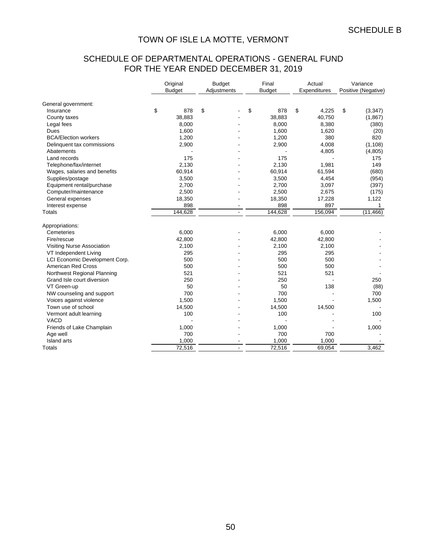# SCHEDULE OF DEPARTMENTAL OPERATIONS - GENERAL FUND FOR THE YEAR ENDED DECEMBER 31, 2019

|                                | Original<br><b>Budget</b> | <b>Budget</b><br>Adjustments |                | Final<br><b>Budget</b> |    | Actual<br>Expenditures |    | Variance<br>Positive (Negative) |
|--------------------------------|---------------------------|------------------------------|----------------|------------------------|----|------------------------|----|---------------------------------|
| General government:            |                           |                              |                |                        |    |                        |    |                                 |
| Insurance                      | \$<br>878                 | \$                           |                | \$<br>878              | \$ | 4,225                  | \$ | (3,347)                         |
| County taxes                   | 38,883                    |                              |                | 38,883                 |    | 40,750                 |    | (1,867)                         |
| Legal fees                     | 8,000                     |                              |                | 8,000                  |    | 8,380                  |    | (380)                           |
| Dues                           | 1,600                     |                              |                | 1,600                  |    | 1,620                  |    | (20)                            |
| <b>BCA/Election workers</b>    | 1,200                     |                              |                | 1,200                  |    | 380                    |    | 820                             |
| Delinquent tax commissions     | 2,900                     |                              |                | 2,900                  |    | 4,008                  |    | (1, 108)                        |
| Abatements                     |                           |                              |                |                        |    | 4,805                  |    | (4,805)                         |
| Land records                   | 175                       |                              |                | 175                    |    |                        |    | 175                             |
| Telephone/fax/internet         | 2,130                     |                              |                | 2,130                  |    | 1,981                  |    | 149                             |
| Wages, salaries and benefits   | 60,914                    |                              |                | 60,914                 |    | 61,594                 |    | (680)                           |
| Supplies/postage               | 3,500                     |                              |                | 3,500                  |    | 4,454                  |    | (954)                           |
| Equipment rental/purchase      | 2,700                     |                              |                | 2,700                  |    | 3,097                  |    | (397)                           |
| Computer/maintenance           | 2,500                     |                              |                | 2,500                  |    | 2,675                  |    | (175)                           |
| General expenses               | 18,350                    |                              |                | 18,350                 |    | 17,228                 |    | 1,122                           |
| Interest expense               | 898                       |                              |                | 898                    |    | 897                    |    | $\mathbf{1}$                    |
| Totals                         | 144,628                   |                              | $\overline{a}$ | 144,628                |    | 156,094                |    | (11, 466)                       |
| Appropriations:                |                           |                              |                |                        |    |                        |    |                                 |
| Cemeteries                     | 6,000                     |                              |                | 6,000                  |    | 6,000                  |    |                                 |
| Fire/rescue                    | 42,800                    |                              |                | 42,800                 |    | 42,800                 |    |                                 |
| Visiting Nurse Association     | 2,100                     |                              |                | 2,100                  |    | 2,100                  |    |                                 |
| VT Independent Living          | 295                       |                              |                | 295                    |    | 295                    |    |                                 |
| LCI Economic Development Corp. | 500                       |                              |                | 500                    |    | 500                    |    |                                 |
| <b>American Red Cross</b>      | 500                       |                              |                | 500                    |    | 500                    |    |                                 |
| Northwest Regional Planning    | 521                       |                              |                | 521                    |    | 521                    |    |                                 |
| Grand Isle court diversion     | 250                       |                              |                | 250                    |    |                        |    | 250                             |
| VT Green-up                    | 50                        |                              |                | 50                     |    | 138                    |    | (88)                            |
| NW counseling and support      | 700                       |                              |                | 700                    |    |                        |    | 700                             |
| Voices against violence        | 1,500                     |                              |                | 1,500                  |    |                        |    | 1,500                           |
| Town use of school             | 14,500                    |                              |                | 14,500                 |    | 14,500                 |    |                                 |
| Vermont adult learning         | 100                       |                              |                | 100                    |    |                        |    | 100                             |
| <b>VACD</b>                    |                           |                              |                |                        |    |                        |    |                                 |
| Friends of Lake Champlain      | 1,000                     |                              |                | 1,000                  |    |                        |    | 1,000                           |
| Age well                       | 700                       |                              |                | 700                    |    | 700                    |    |                                 |
| <b>Island</b> arts             | 1,000                     |                              |                | 1,000                  |    | 1,000                  |    |                                 |
| Totals                         | 72,516                    |                              | $\blacksquare$ | 72,516                 |    | 69,054                 |    | 3.462                           |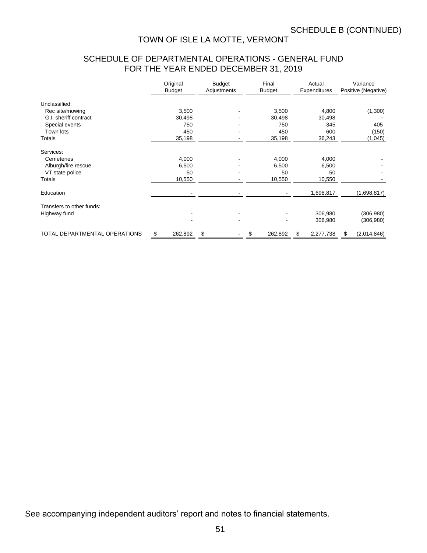# SCHEDULE OF DEPARTMENTAL OPERATIONS - GENERAL FUND FOR THE YEAR ENDED DECEMBER 31, 2019

|                               | Original<br><b>Budget</b> | <b>Budget</b><br>Adjustments | Final<br><b>Budget</b> | Actual<br>Expenditures | Variance<br>Positive (Negative) |  |
|-------------------------------|---------------------------|------------------------------|------------------------|------------------------|---------------------------------|--|
| Unclassified:                 |                           |                              |                        |                        |                                 |  |
| Rec site/mowing               | 3,500                     |                              | 3,500                  | 4,800                  | (1,300)                         |  |
| G.I. sheriff contract         | 30,498                    |                              | 30,498                 | 30,498                 |                                 |  |
| Special events                | 750                       |                              | 750                    | 345                    | 405                             |  |
| Town lots                     | 450                       |                              | 450                    | 600                    | (150)                           |  |
| Totals                        | 35,198                    |                              | 35,198                 | 36,243                 | (1,045)                         |  |
| Services:                     |                           |                              |                        |                        |                                 |  |
| Cemeteries                    | 4,000                     |                              | 4,000                  | 4,000                  |                                 |  |
| Alburgh/fire rescue           | 6,500                     |                              | 6,500                  | 6,500                  |                                 |  |
| VT state police               | 50                        |                              | 50                     | 50                     |                                 |  |
| Totals                        | 10,550                    |                              | 10,550                 | 10,550                 |                                 |  |
| Education                     |                           |                              |                        | 1,698,817              | (1,698,817)                     |  |
| Transfers to other funds:     |                           |                              |                        |                        |                                 |  |
| Highway fund                  |                           |                              |                        | 306,980                | (306, 980)                      |  |
|                               |                           |                              |                        | 306,980                | (306, 980)                      |  |
| TOTAL DEPARTMENTAL OPERATIONS | 262,892<br>\$             | \$                           | 262,892                | 2,277,738<br>\$        | (2,014,846)<br>\$               |  |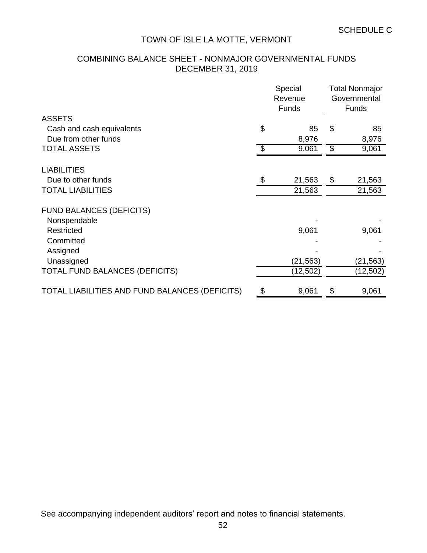# COMBINING BALANCE SHEET - NONMAJOR GOVERNMENTAL FUNDS DECEMBER 31, 2019

|                                                   | Special<br>Revenue<br>Funds | <b>Total Nonmajor</b><br>Governmental<br><b>Funds</b> |
|---------------------------------------------------|-----------------------------|-------------------------------------------------------|
| <b>ASSETS</b>                                     |                             |                                                       |
| Cash and cash equivalents<br>Due from other funds | \$<br>85<br>8,976           | \$<br>85<br>8,976                                     |
| <b>TOTAL ASSETS</b>                               | \$<br>9,061                 | \$<br>9,061                                           |
| <b>LIABILITIES</b>                                |                             |                                                       |
| Due to other funds                                | \$<br>21,563                | \$<br>21,563                                          |
| <b>TOTAL LIABILITIES</b>                          | 21,563                      | 21,563                                                |
| <b>FUND BALANCES (DEFICITS)</b>                   |                             |                                                       |
| Nonspendable                                      |                             |                                                       |
| Restricted                                        | 9,061                       | 9,061                                                 |
| Committed                                         |                             |                                                       |
| Assigned                                          |                             |                                                       |
| Unassigned                                        | (21, 563)                   | (21, 563)                                             |
| <b>TOTAL FUND BALANCES (DEFICITS)</b>             | (12, 502)                   | (12, 502)                                             |
| TOTAL LIABILITIES AND FUND BALANCES (DEFICITS)    | \$<br>9,061                 | \$<br>9,061                                           |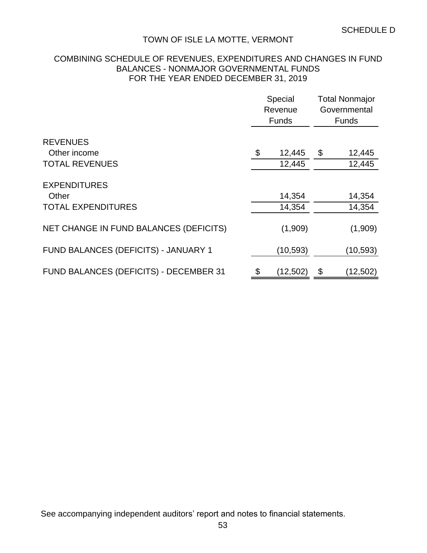## COMBINING SCHEDULE OF REVENUES, EXPENDITURES AND CHANGES IN FUND BALANCES - NONMAJOR GOVERNMENTAL FUNDS FOR THE YEAR ENDED DECEMBER 31, 2019

|                                        | Special<br>Revenue<br><b>Funds</b> | <b>Total Nonmajor</b><br>Governmental<br><b>Funds</b> |           |  |  |
|----------------------------------------|------------------------------------|-------------------------------------------------------|-----------|--|--|
| <b>REVENUES</b>                        |                                    |                                                       |           |  |  |
| Other income<br><b>TOTAL REVENUES</b>  | \$<br>12,445                       | \$                                                    | 12,445    |  |  |
|                                        | 12,445                             |                                                       | 12,445    |  |  |
| <b>EXPENDITURES</b>                    |                                    |                                                       |           |  |  |
| Other                                  | 14,354                             |                                                       | 14,354    |  |  |
| <b>TOTAL EXPENDITURES</b>              | 14,354                             |                                                       | 14,354    |  |  |
| NET CHANGE IN FUND BALANCES (DEFICITS) | (1,909)                            |                                                       | (1,909)   |  |  |
| FUND BALANCES (DEFICITS) - JANUARY 1   | (10, 593)                          |                                                       | (10, 593) |  |  |
| FUND BALANCES (DEFICITS) - DECEMBER 31 | \$<br>(12, 502)                    | \$                                                    | (12,502)  |  |  |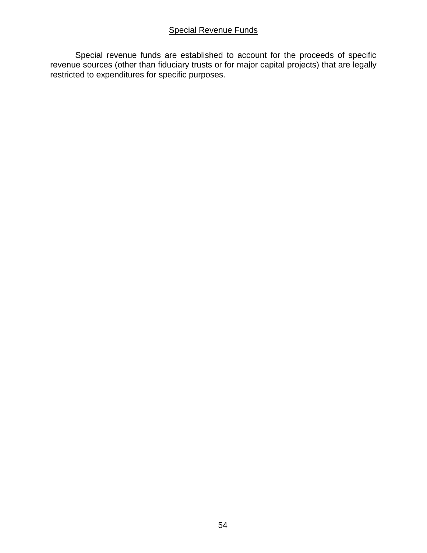## Special Revenue Funds

Special revenue funds are established to account for the proceeds of specific revenue sources (other than fiduciary trusts or for major capital projects) that are legally restricted to expenditures for specific purposes.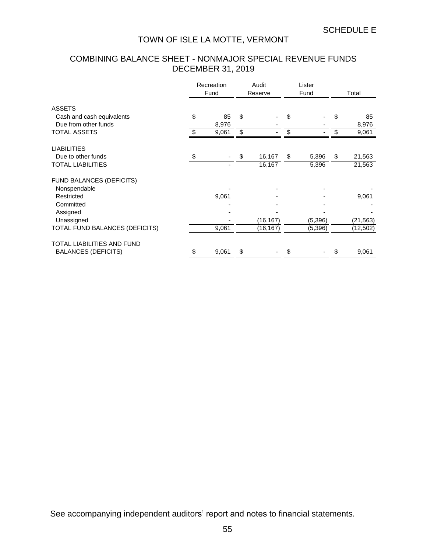# COMBINING BALANCE SHEET - NONMAJOR SPECIAL REVENUE FUNDS DECEMBER 31, 2019

|                                 | Recreation<br>Fund |       | Audit<br>Reserve |           | Lister<br>Fund |         | Total |           |
|---------------------------------|--------------------|-------|------------------|-----------|----------------|---------|-------|-----------|
| <b>ASSETS</b>                   |                    |       |                  |           |                |         |       |           |
| Cash and cash equivalents       | \$                 | 85    | \$               |           | \$             |         | \$    | 85        |
| Due from other funds            |                    | 8,976 |                  |           |                |         |       | 8,976     |
| <b>TOTAL ASSETS</b>             | \$                 | 9,061 | \$               |           | \$             |         | \$    | 9,061     |
| <b>LIABILITIES</b>              |                    |       |                  |           |                |         |       |           |
| Due to other funds              | \$                 |       | \$               | 16,167    | \$             | 5,396   | \$    | 21,563    |
| <b>TOTAL LIABILITIES</b>        |                    |       |                  | 16,167    |                | 5,396   |       | 21,563    |
| <b>FUND BALANCES (DEFICITS)</b> |                    |       |                  |           |                |         |       |           |
| Nonspendable                    |                    |       |                  |           |                |         |       |           |
| Restricted                      |                    | 9,061 |                  |           |                |         |       | 9,061     |
| Committed                       |                    |       |                  |           |                |         |       |           |
| Assigned                        |                    |       |                  |           |                |         |       |           |
| Unassigned                      |                    |       |                  | (16, 167) |                | (5,396) |       | (21, 563) |
| TOTAL FUND BALANCES (DEFICITS)  |                    | 9,061 |                  | (16, 167) |                | (5,396) |       | (12,502)  |
| TOTAL LIABILITIES AND FUND      |                    |       |                  |           |                |         |       |           |
| <b>BALANCES (DEFICITS)</b>      | \$                 | 9,061 | \$               |           |                |         |       | 9,061     |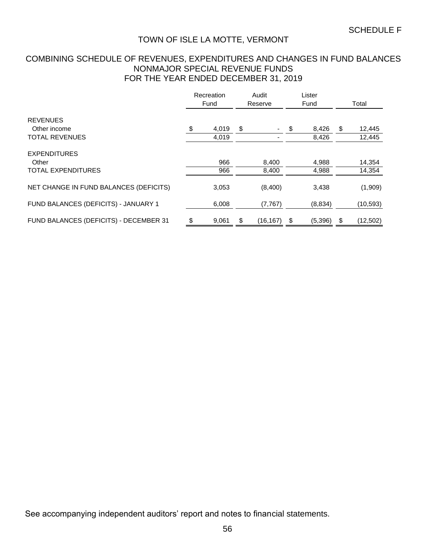## COMBINING SCHEDULE OF REVENUES, EXPENDITURES AND CHANGES IN FUND BALANCES NONMAJOR SPECIAL REVENUE FUNDS FOR THE YEAR ENDED DECEMBER 31, 2019

|                                        | Recreation<br>Fund |                | Audit<br>Reserve |           | Lister<br>Fund |                | Total                  |
|----------------------------------------|--------------------|----------------|------------------|-----------|----------------|----------------|------------------------|
| <b>REVENUES</b>                        |                    |                |                  |           |                |                |                        |
| Other income<br><b>TOTAL REVENUES</b>  | \$                 | 4,019<br>4,019 | \$               |           | \$             | 8,426<br>8,426 | \$<br>12,445<br>12,445 |
| <b>EXPENDITURES</b><br>Other           |                    | 966            |                  | 8,400     |                | 4,988          | 14,354                 |
| <b>TOTAL EXPENDITURES</b>              |                    | 966            |                  | 8,400     |                | 4,988          | 14,354                 |
| NET CHANGE IN FUND BALANCES (DEFICITS) |                    | 3,053          |                  | (8,400)   |                | 3,438          | (1,909)                |
| FUND BALANCES (DEFICITS) - JANUARY 1   |                    | 6,008          |                  | (7, 767)  |                | (8,834)        | (10, 593)              |
| FUND BALANCES (DEFICITS) - DECEMBER 31 | \$                 | 9,061          | \$               | (16, 167) | \$             | (5,396)        | \$<br>(12, 502)        |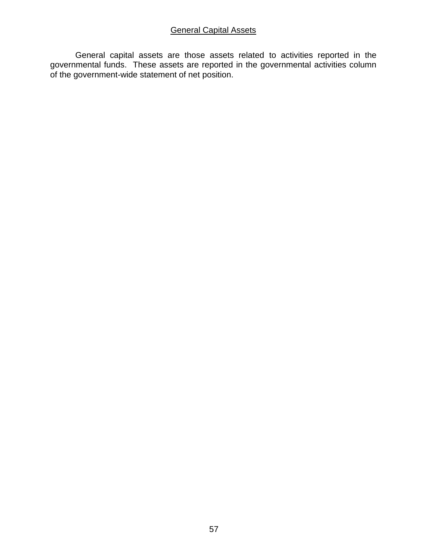## General Capital Assets

General capital assets are those assets related to activities reported in the governmental funds. These assets are reported in the governmental activities column of the government-wide statement of net position.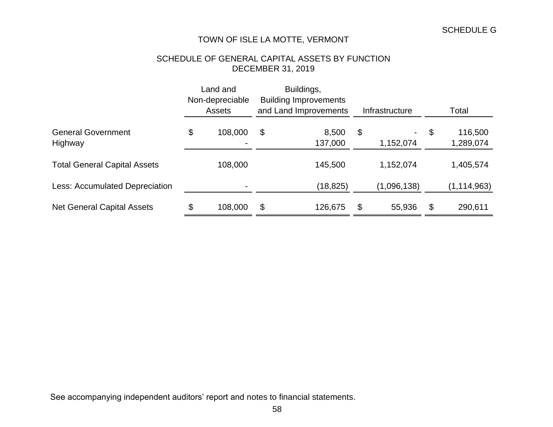# SCHEDULE OF GENERAL CAPITAL ASSETS BY FUNCTION DECEMBER 31, 2019

|                                      | Land and<br>Non-depreciable<br><b>Assets</b> |         | Buildings,<br><b>Building Improvements</b><br>and Land Improvements |                  |    | Infrastructure  | Total                      |
|--------------------------------------|----------------------------------------------|---------|---------------------------------------------------------------------|------------------|----|-----------------|----------------------------|
| <b>General Government</b><br>Highway | \$                                           | 108,000 | \$                                                                  | 8,500<br>137,000 | \$ | Ξ.<br>1,152,074 | \$<br>116,500<br>1,289,074 |
| <b>Total General Capital Assets</b>  |                                              | 108,000 |                                                                     | 145,500          |    | 1,152,074       | 1,405,574                  |
| Less: Accumulated Depreciation       |                                              |         |                                                                     | (18, 825)        |    | (1,096,138)     | (1,114,963)                |
| <b>Net General Capital Assets</b>    | \$                                           | 108,000 | $\boldsymbol{\mathsf{S}}$                                           | 126,675          | \$ | 55,936          | \$<br>290,611              |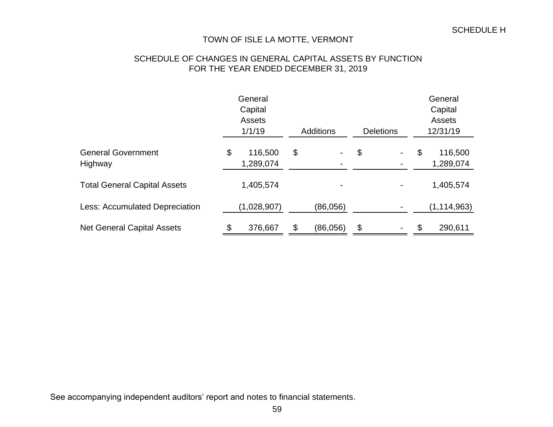## SCHEDULE OF CHANGES IN GENERAL CAPITAL ASSETS BY FUNCTION FOR THE YEAR ENDED DECEMBER 31, 2019

|                                       |    | General<br>Capital<br><b>Assets</b><br>1/1/19 | <b>Additions</b><br><b>Deletions</b> |          |    |    |    | General<br>Capital<br><b>Assets</b><br>12/31/19 |
|---------------------------------------|----|-----------------------------------------------|--------------------------------------|----------|----|----|----|-------------------------------------------------|
| <b>General Government</b><br>Highway  | \$ | 116,500<br>1,289,074                          | \$                                   |          | \$ | Ξ. | \$ | 116,500<br>1,289,074                            |
| <b>Total General Capital Assets</b>   |    | 1,405,574                                     |                                      |          |    |    |    | 1,405,574                                       |
| <b>Less: Accumulated Depreciation</b> |    | (1,028,907)                                   |                                      | (86,056) |    |    |    | (1, 114, 963)                                   |
| <b>Net General Capital Assets</b>     | \$ | 376,667                                       | \$                                   | (86,056) | \$ |    | \$ | 290,611                                         |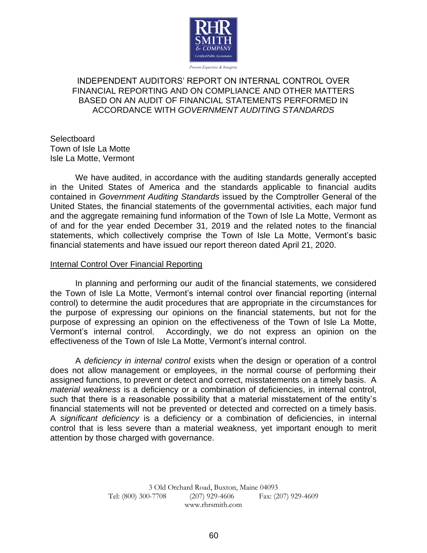

## INDEPENDENT AUDITORS' REPORT ON INTERNAL CONTROL OVER FINANCIAL REPORTING AND ON COMPLIANCE AND OTHER MATTERS BASED ON AN AUDIT OF FINANCIAL STATEMENTS PERFORMED IN ACCORDANCE WITH *GOVERNMENT AUDITING STANDARDS*

**Selectboard** Town of Isle La Motte Isle La Motte, Vermont

We have audited, in accordance with the auditing standards generally accepted in the United States of America and the standards applicable to financial audits contained in *Government Auditing Standards* issued by the Comptroller General of the United States, the financial statements of the governmental activities, each major fund and the aggregate remaining fund information of the Town of Isle La Motte, Vermont as of and for the year ended December 31, 2019 and the related notes to the financial statements, which collectively comprise the Town of Isle La Motte, Vermont's basic financial statements and have issued our report thereon dated April 21, 2020.

## Internal Control Over Financial Reporting

In planning and performing our audit of the financial statements, we considered the Town of Isle La Motte, Vermont's internal control over financial reporting (internal control) to determine the audit procedures that are appropriate in the circumstances for the purpose of expressing our opinions on the financial statements, but not for the purpose of expressing an opinion on the effectiveness of the Town of Isle La Motte, Vermont's internal control. Accordingly, we do not express an opinion on the effectiveness of the Town of Isle La Motte, Vermont's internal control.

A *deficiency in internal control* exists when the design or operation of a control does not allow management or employees, in the normal course of performing their assigned functions, to prevent or detect and correct, misstatements on a timely basis. A *material weakness* is a deficiency or a combination of deficiencies, in internal control, such that there is a reasonable possibility that a material misstatement of the entity's financial statements will not be prevented or detected and corrected on a timely basis. A *significant deficiency* is a deficiency or a combination of deficiencies, in internal control that is less severe than a material weakness, yet important enough to merit attention by those charged with governance.

> 3 Old Orchard Road, Buxton, Maine 04093 Tel: (800) 300-7708 (207) 929-4606 Fax: (207) 929-4609 www.rhrsmith.com